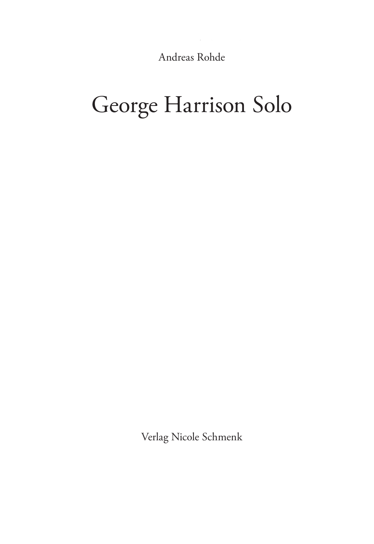Andreas Rohde

# George Harrison Solo

Verlag Nicole Schmenk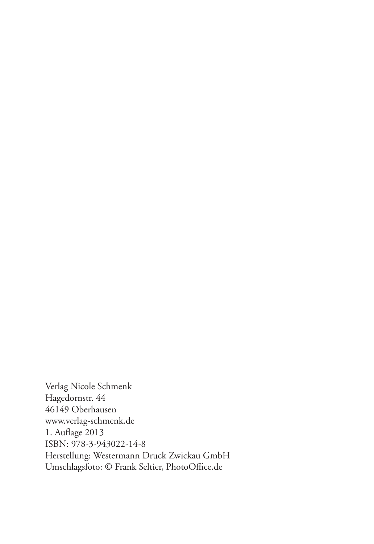Verlag Nicole Schmenk Hagedornstr. 44 46149 Oberhausen www.verlag-schmenk.de 1. Auflage 2013 ISBN: 978-3-943022-14-8 Herstellung: Westermann Druck Zwickau GmbH Umschlagsfoto: © Frank Seltier, PhotoOffice.de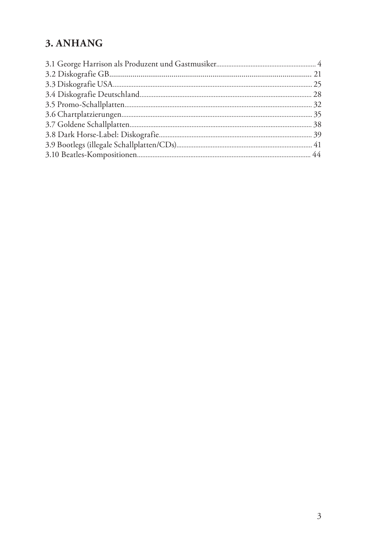# 3. ANHANG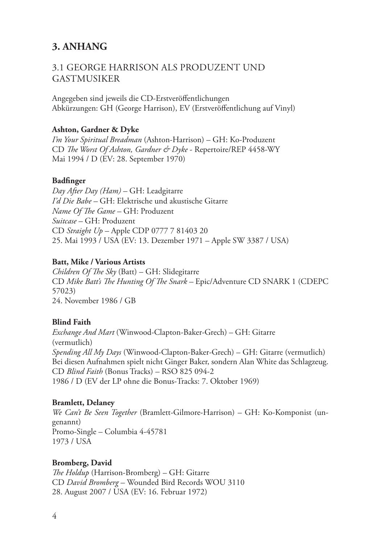# **3. ANHANG**

# 3.1 George Harrison als Produzent und Gastmusiker

Angegeben sind jeweils die CD-Erstveröffentlichungen Abkürzungen: GH (George Harrison), EV (Erstveröffentlichung auf Vinyl)

#### **Ashton, Gardner & Dyke**

*I'm Your Spiritual Breadman* (Ashton-Harrison) – GH: Ko-Produzent CD *The Worst Of Ashton, Gardner & Dyke* - Repertoire/REP 4458-WY Mai 1994 / D (EV: 28. September 1970)

#### **Badfinger**

*Day After Day (Ham) –* GH: Leadgitarre *I'd Die Babe –* GH: Elektrische und akustische Gitarre *Name Of The Game –* GH: Produzent *Suitcase –* GH: Produzent CD *Straight Up –* Apple CDP 0777 7 81403 20 25. Mai 1993 / USA (EV: 13. Dezember 1971 – Apple SW 3387 / USA)

#### **Batt, Mike / Various Artists**

*Children Of The Sky* (Batt) – GH: Slidegitarre CD *Mike Batt's The Hunting Of The Snark –* Epic/Adventure CD SNARK 1 (CDEPC 57023) 24. November 1986 / GB

#### **Blind Faith**

*Exchange And Mart* (Winwood-Clapton-Baker-Grech) – GH: Gitarre (vermutlich) *Spending All My Days* (Winwood-Clapton-Baker-Grech) – GH: Gitarre (vermutlich) Bei diesen Aufnahmen spielt nicht Ginger Baker, sondern Alan White das Schlagzeug. CD *Blind Faith* (Bonus Tracks) *–* RSO 825 094-2 1986 / D (EV der LP ohne die Bonus-Tracks: 7. Oktober 1969)

#### **Bramlett, Delaney**

*We Can't Be Seen Together* (Bramlett-Gilmore-Harrison) – GH: Ko-Komponist (ungenannt) Promo-Single – Columbia 4-45781 1973 / USA

#### **Bromberg, David**

*The Holdup* (Harrison-Bromberg) – GH: Gitarre CD *David Bromberg –* Wounded Bird Records WOU 3110 28. August 2007 / USA (EV: 16. Februar 1972)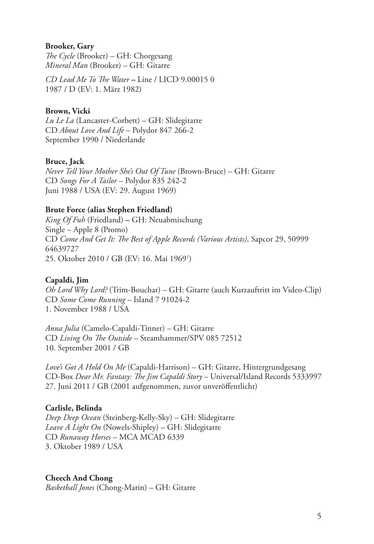#### **Brooker, Gary**

*The Cycle* (Brooker) – GH: Chorgesang *Mineral Man* (Brooker) – GH: Gitarre

*CD Lead Me To The Water –* Line / LICD 9.00015 0 1987 / D (EV: 1. März 1982)

#### **Brown, Vicki**

*Lu Le La* (Lancaster-Corbett) – GH: Slidegitarre CD *About Love And Life –* Polydor 847 266-2 September 1990 / Niederlande

#### **Bruce, Jack**

*Never Tell Your Mother She's Out Of Tune* (Brown-Bruce) – GH: Gitarre CD *Songs For A Tailor –* Polydor 835 242-2 Juni 1988 / USA (EV: 29. August 1969)

#### **Brute Force (alias Stephen Friedland)**

*King Of Fuh* (Friedland) *–* GH: Neuabmischung Single – Apple 8 (Promo) CD *Come And Get It: The Best of Apple Records (Various Artists)*, Sapcor 29, 50999 64639727 25. Oktober 2010 / GB (EV: 16. Mai 19691 )

#### **Capaldi, Jim**

*Oh Lord Why Lord?* (Trim-Bouchar) – GH: Gitarre (auch Kurzauftritt im Video-Clip) CD *Some Come Running –* Island 7 91024-2 1. November 1988 / USA

*Anna Julia* (Camelo-Capaldi-Tinner) – GH: Gitarre CD *Living On The Outside –* Steamhammer/SPV 085 72512 10. September 2001 / GB

*Love's Got A Hold On Me* (Capaldi-Harrison) – GH: Gitarre, Hintergrundgesang CD-Box *Dear Mr. Fantasy: The Jim Capaldi Story* – Universal/Island Records 5333997 27. Juni 2011 / GB (2001 aufgenommen, zuvor unveröffentlicht)

#### **Carlisle, Belinda**

*Deep Deep Ocean* (Steinberg-Kelly-Sky) *–* GH: Slidegitarre *Leave A Light On* (Nowels-Shipley) – GH: Slidegitarre CD *Runaway Horses* – MCA MCAD 6339 3. Oktober 1989 / USA

#### **Cheech And Chong**

*Basketball Jones* (Chong-Marin) – GH: Gitarre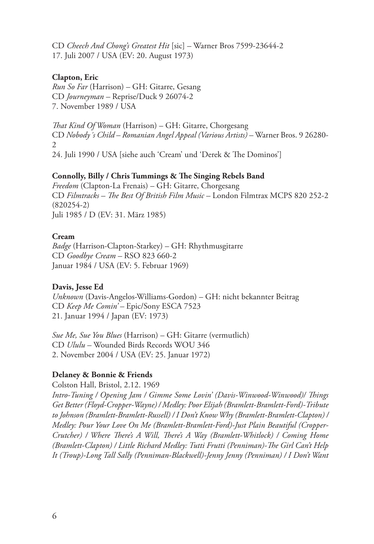CD *Cheech And Chong's Greatest Hit* [sic] *–* Warner Bros 7599-23644-2 17. Juli 2007 / USA (EV: 20. August 1973)

#### **Clapton, Eric**

*Run So Far* (Harrison) – GH: Gitarre, Gesang CD *Journeyman –* Reprise/Duck 9 26074-2 7. November 1989 / USA

*That Kind Of Woman* (Harrison) – GH: Gitarre, Chorgesang CD *Nobody´s Child – Romanian Angel Appeal (Various Artists) –* Warner Bros. 9 26280-  $\mathcal{D}_{\mathcal{L}}$ 24. Juli 1990 / USA [siehe auch 'Cream' und 'Derek & The Dominos']

#### **Connolly, Billy / Chris Tummings & The Singing Rebels Band**

*Freedom* (Clapton-La Frenais) – GH: Gitarre, Chorgesang CD *Filmtracks – The Best Of British Film Music –* London Filmtrax MCPS 820 252-2 (820254-2) Juli 1985 / D (EV: 31. März 1985)

#### **Cream**

*Badge* (Harrison-Clapton-Starkey) – GH: Rhythmusgitarre CD *Goodbye Cream –* RSO 823 660-2 Januar 1984 / USA (EV: 5. Februar 1969)

#### **Davis, Jesse Ed**

*Unknown* (Davis-Angelos-Williams-Gordon) – GH: nicht bekannter Beitrag CD *Keep Me Comin' –* Epic/Sony ESCA 7523 21. Januar 1994 / Japan (EV: 1973)

*Sue Me, Sue You Blues* (Harrison) – GH: Gitarre (vermutlich) CD *Ululu –* Wounded Birds Records WOU 346 2. November 2004 / USA (EV: 25. Januar 1972)

#### **Delaney & Bonnie & Friends**

Colston Hall, Bristol, 2.12. 1969

*Intro-Tuning / Opening Jam / Gimme Some Lovin' (Davis-Winwood-Winwood)/ Things Get Better (Floyd-Cropper-Wayne) / Medley: Poor Elijah (Bramlett-Bramlett-Ford)-Tribute to Johnson (Bramlett-Bramlett-Russell) / I Don't Know Why (Bramlett-Bramlett-Clapton) / Medley: Pour Your Love On Me (Bramlett-Bramlett-Ford)-Just Plain Beautiful (Cropper-Crutcher) / Where There's A Will, There's A Way (Bramlett-Whitlock) / Coming Home (Bramlett-Clapton) / Little Richard Medley: Tutti Frutti (Penniman)-The Girl Can't Help It (Troup)-Long Tall Sally (Penniman-Blackwell)-Jenny Jenny (Penniman) / I Don't Want*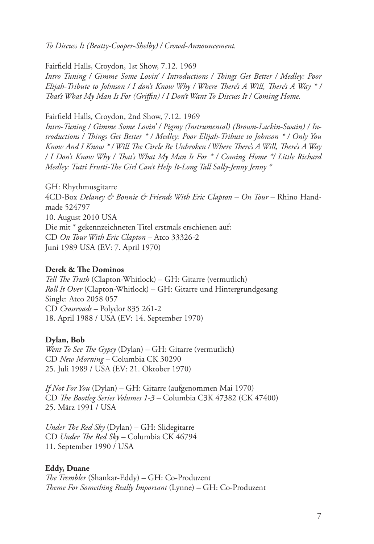*To Discuss It (Beatty-Cooper-Shelby) / Crowd-Announcement.*

Fairfield Halls, Croydon, 1st Show, 7.12. 1969

*Intro Tuning / Gimme Some Lovin' / Introductions / Things Get Better / Medley: Poor Elijah-Tribute to Johnson / I don't Know Why / Where There's A Will, There's A Way \* / That's What My Man Is For (Griffin) / I Don't Want To Discuss It / Coming Home.*

Fairfield Halls, Croydon, 2nd Show, 7.12. 1969

*Intro-Tuning / Gimme Some Lovin' / Pigmy (Instrumental) (Brown-Lackin-Swain) / Introductions / Things Get Better \* / Medley: Poor Elijah-Tribute to Johnson \* / Only You Know And I Know \* / Will The Circle Be Unbroken / Where There's A Will, There's A Way / I Don't Know Why / That's What My Man Is For \* / Coming Home \*/ Little Richard Medley: Tutti Frutti-The Girl Can't Help It-Long Tall Sally-Jenny Jenny \**

GH: Rhythmusgitarre 4CD-Box *Delaney & Bonnie & Friends With Eric Clapton – On Tour* – Rhino Handmade 524797 10. August 2010 USA Die mit \* gekennzeichneten Titel erstmals erschienen auf: CD *On Tour With Eric Clapton* – Atco 33326-2 Juni 1989 USA (EV: 7. April 1970)

#### **Derek & The Dominos**

*Tell The Truth* (Clapton-Whitlock) – GH: Gitarre (vermutlich) *Roll It Over* (Clapton-Whitlock) – GH: Gitarre und Hintergrundgesang Single: Atco 2058 057 CD *Crossroads –* Polydor 835 261-2 18. April 1988 / USA (EV: 14. September 1970)

#### **Dylan, Bob**

*Went To See The Gypsy* (Dylan) – GH: Gitarre (vermutlich) CD *New Morning –* Columbia CK 30290 25. Juli 1989 / USA (EV: 21. Oktober 1970)

*If Not For You* (Dylan) – GH: Gitarre (aufgenommen Mai 1970) CD *The Bootleg Series Volumes 1-3 –* Columbia C3K 47382 (CK 47400) 25. März 1991 / USA

*Under The Red Sky* (Dylan) – GH: Slidegitarre CD *Under The Red Sky –* Columbia CK 46794 11. September 1990 / USA

#### **Eddy, Duane**

*The Trembler* (Shankar-Eddy) – GH: Co-Produzent *Theme For Something Really Important* (Lynne) – GH: Co-Produzent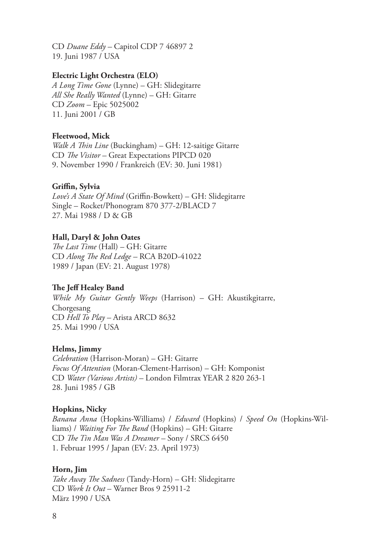CD *Duane Eddy –* Capitol CDP 7 46897 2 19. Juni 1987 / USA

#### **Electric Light Orchestra (ELO)**

*A Long Time Gone* (Lynne) – GH: Slidegitarre *All She Really Wanted* (Lynne) – GH: Gitarre CD *Zoom –* Epic 5025002 11. Juni 2001 / GB

#### **Fleetwood, Mick**

*Walk A Thin Line* (Buckingham) – GH: 12-saitige Gitarre CD *The Visitor –* Great Expectations PIPCD 020 9. November 1990 / Frankreich (EV: 30. Juni 1981)

#### **Griffin, Sylvia**

*Love's A State Of Mind* (Griffin-Bowkett) – GH: Slidegitarre Single – Rocket/Phonogram 870 377-2/BLACD 7 27. Mai 1988 / D & GB

#### **Hall, Daryl & John Oates**

*The Last Time* (Hall) – GH: Gitarre CD *Along The Red Ledge –* RCA B20D-41022 1989 / Japan (EV: 21. August 1978)

#### **The Jeff Healey Band**

*While My Guitar Gently Weeps* (Harrison) – GH: Akustikgitarre, Chorgesang CD *Hell To Play –* Arista ARCD 8632 25. Mai 1990 / USA

#### **Helms, Jimmy**

*Celebration* (Harrison-Moran) – GH: Gitarre *Focus Of Attention* (Moran-Clement-Harrison) – GH: Komponist CD *Water (Various Artists) –* London Filmtrax YEAR 2 820 263-1 28. Juni 1985 / GB

#### **Hopkins, Nicky**

*Banana Anna* (Hopkins-Williams) / *Edward* (Hopkins) / *Speed On* (Hopkins-Williams) / *Waiting For The Band* (Hopkins) – GH: Gitarre CD *The Tin Man Was A Dreamer –* Sony / SRCS 6450 1. Februar 1995 / Japan (EV: 23. April 1973)

#### **Horn, Jim**

*Take Away The Sadness* (Tandy-Horn) – GH: Slidegitarre CD *Work It Out* – Warner Bros 9 25911-2 März 1990 / USA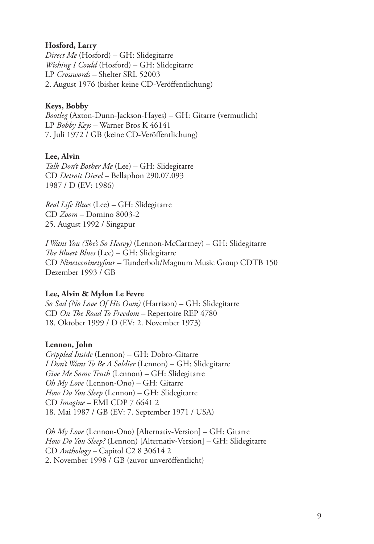#### **Hosford, Larry**

*Direct Me* (Hosford) – GH: Slidegitarre *Wishing I Could* (Hosford) – GH: Slidegitarre LP *Crosswords –* Shelter SRL 52003 2. August 1976 (bisher keine CD-Veröffentlichung)

## **Keys, Bobby**

*Bootleg* (Axton-Dunn-Jackson-Hayes) – GH: Gitarre (vermutlich) LP *Bobby Keys –* Warner Bros K 46141 7. Juli 1972 / GB (keine CD-Veröffentlichung)

## **Lee, Alvin**

*Talk Don't Bother Me* (Lee) – GH: Slidegitarre CD *Detroit Diesel –* Bellaphon 290.07.093 1987 / D (EV: 1986)

*Real Life Blues* (Lee) – GH: Slidegitarre CD *Zoom –* Domino 8003-2 25. August 1992 / Singapur

*I Want You (She's So Heavy)* (Lennon-McCartney) – GH: Slidegitarre *The Bluest Blues* (Lee) – GH: Slidegitarre CD *Nineteeninetyfour –* Tunderbolt/Magnum Music Group CDTB 150 Dezember 1993 / GB

#### **Lee, Alvin & Mylon Le Fevre**

*So Sad (No Love Of His Own)* (Harrison) – GH: Slidegitarre CD *On The Road To Freedom –* Repertoire REP 4780 18. Oktober 1999 / D (EV: 2. November 1973)

## **Lennon, John**

*Crippled Inside* (Lennon) – GH: Dobro-Gitarre *I Don't Want To Be A Soldier* (Lennon) – GH: Slidegitarre *Give Me Some Truth* (Lennon) – GH: Slidegitarre *Oh My Love* (Lennon-Ono) – GH: Gitarre *How Do You Sleep* (Lennon) – GH: Slidegitarre CD *Imagine* – EMI CDP 7 6641 2 18. Mai 1987 / GB (EV: 7. September 1971 / USA)

*Oh My Love* (Lennon-Ono) [Alternativ-Version] – GH: Gitarre *How Do You Sleep?* (Lennon) [Alternativ-Version] – GH: Slidegitarre CD *Anthology –* Capitol C2 8 30614 2 2. November 1998 / GB (zuvor unveröffentlicht)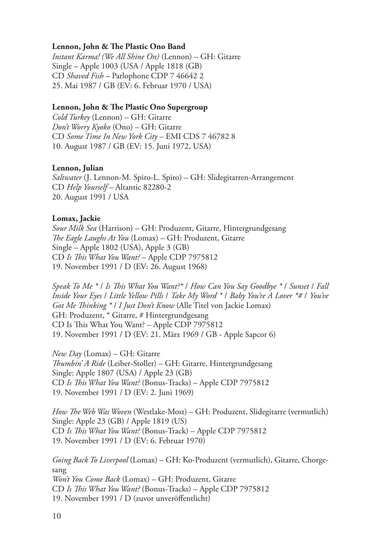#### **Lennon, John & The Plastic Ono Band**

*Instant Karma! (We All Shine On)* (Lennon) – GH: Gitarre Single – Apple 1003 (USA / Apple 1818 (GB) CD *Shaved Fish –* Parlophone CDP 7 46642 2 25. Mai 1987 / GB (EV: 6. Februar 1970 / USA)

#### **Lennon, John & The Plastic Ono Supergroup**

*Cold Turkey* (Lennon) – GH: Gitarre *Don't Worry Kyoko* (Ono) – GH: Gitarre CD *Some Time In New York City* – EMI CDS 7 46782 8 10. August 1987 / GB (EV: 15. Juni 1972, USA)

#### **Lennon, Julian**

*Saltwater* (J. Lennon-M. Spiro-L. Spiro) – GH: Slidegitarren-Arrangement CD *Help Yourself –* Altantic 82280-2 20. August 1991 / USA

#### **Lomax, Jackie**

*Sour Milk Sea* (Harrison) – GH: Produzent, Gitarre, Hintergrundgesang *The Eagle Laughs At You* (Lomax) – GH: Produzent, Gitarre Single – Apple 1802 (USA), Apple 3 (GB) CD *Is This What You Want?* – Apple CDP 7975812 19. November 1991 / D (EV: 26. August 1968)

*Speak To Me \** / *Is This What You Want?\** / *How Can You Say Goodbye \** / *Sunset* / *Fall Inside Your Eyes* / *Little Yellow Pills* / *Take My Word \** / *Baby You're A Lover \*#* / *You've Got Me Thinking \** / *I Just Don't Know* (Alle Titel von Jackie Lomax) GH: Produzent, \* Gitarre, # Hintergrundgesang CD Is This What You Want? – Apple CDP 7975812 19. November 1991 / D (EV: 21. März 1969 / GB - Apple Sapcor 6)

*New Day* (Lomax) – GH: Gitarre *Thumbin' A Ride* (Leiber-Stoller) – GH: Gitarre, Hintergrundgesang Single: Apple 1807 (USA) / Apple 23 (GB) CD *Is This What You Want?* (Bonus-Tracks) – Apple CDP 7975812 19. November 1991 / D (EV: 2. Juni 1969)

*How The Web Was Woven* (Westlake-Most) – GH: Produzent, Slidegitarre (vermutlich) Single: Apple 23 (GB) / Apple 1819 (US) CD *Is This What You Want?* (Bonus-Track) – Apple CDP 7975812 19. November 1991 / D (EV: 6. Februar 1970)

*Going Back To Liverpool* (Lomax) – GH: Ko-Produzent (vermutlich), Gitarre, Chorgesang *Won't You Come Back* (Lomax) – GH: Produzent, Gitarre CD *Is This What You Want?* (Bonus-Tracks) – Apple CDP 7975812 19. November 1991 / D (zuvor unveröffentlicht)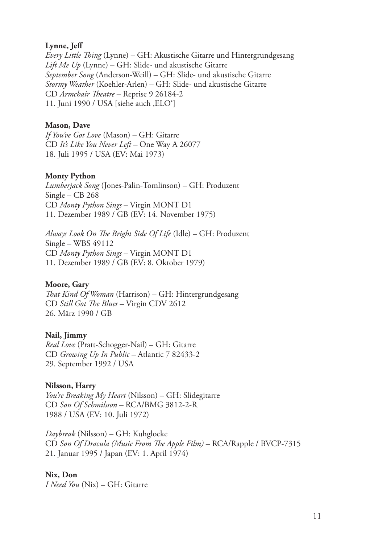#### **Lynne, Jeff**

*Every Little Thing* (Lynne) – GH: Akustische Gitarre und Hintergrundgesang *Lift Me Up* (Lynne) – GH: Slide- und akustische Gitarre *September Song* (Anderson-Weill) – GH: Slide- und akustische Gitarre *Stormy Weather* (Koehler-Arlen) – GH: Slide- und akustische Gitarre CD *Armchair Theatre* – Reprise 9 26184-2 11. Juni 1990 / USA [siehe auch , ELO']

#### **Mason, Dave**

*If You've Got Love* (Mason) – GH: Gitarre CD *It's Like You Never Left –* One Way A 26077 18. Juli 1995 / USA (EV: Mai 1973)

#### **Monty Python**

*Lumberjack Song* (Jones-Palin-Tomlinson) – GH: Produzent Single – CB 268 CD *Monty Python Sings* – Virgin MONT D1 11. Dezember 1989 / GB (EV: 14. November 1975)

*Always Look On The Bright Side Of Life* (Idle) – GH: Produzent Single – WBS 49112 CD *Monty Python Sings* – Virgin MONT D1 11. Dezember 1989 / GB (EV: 8. Oktober 1979)

#### **Moore, Gary**

*That Kind Of Woman* (Harrison) – GH: Hintergrundgesang CD *Still Got The Blues –* Virgin CDV 2612 26. März 1990 / GB

#### **Nail, Jimmy**

*Real Love* (Pratt-Schogger-Nail) – GH: Gitarre CD *Growing Up In Public –* Atlantic 7 82433-2 29. September 1992 / USA

#### **Nilsson, Harry**

*You're Breaking My Heart* (Nilsson) – GH: Slidegitarre CD *Son Of Schmilsson –* RCA/BMG 3812-2-R 1988 / USA (EV: 10. Juli 1972)

*Daybreak* (Nilsson) – GH: Kuhglocke CD *Son Of Dracula (Music From The Apple Film)* – RCA/Rapple / BVCP-7315 21. Januar 1995 / Japan (EV: 1. April 1974)

#### **Nix, Don**

*I Need You* (Nix) – GH: Gitarre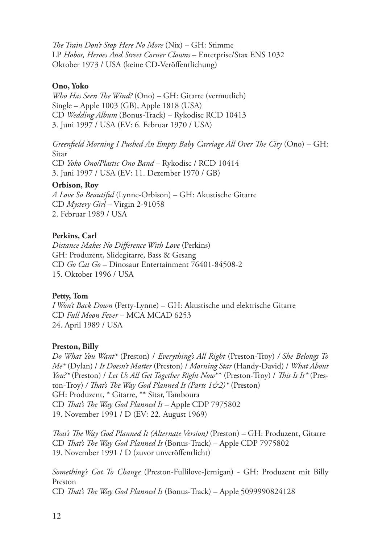*The Train Don't Stop Here No More* (Nix) – GH: Stimme LP *Hobos, Heroes And Street Corner Clowns* – Enterprise/Stax ENS 1032 Oktober 1973 / USA (keine CD-Veröffentlichung)

#### **Ono, Yoko**

*Who Has Seen The Wind?* (Ono) – GH: Gitarre (vermutlich) Single – Apple 1003 (GB), Apple 1818 (USA) CD *Wedding Album* (Bonus-Track) *–* Rykodisc RCD 10413 3. Juni 1997 / USA (EV: 6. Februar 1970 / USA)

*Greenfield Morning I Pushed An Empty Baby Carriage All Over The City* (Ono) – GH: Sitar

CD *Yoko Ono/Plastic Ono Band* – Rykodisc / RCD 10414 3. Juni 1997 / USA (EV: 11. Dezember 1970 / GB)

#### **Orbison, Roy**

*A Love So Beautiful* (Lynne-Orbison) – GH: Akustische Gitarre CD *Mystery Girl* – Virgin 2-91058 2. Februar 1989 / USA

#### **Perkins, Carl**

*Distance Makes No Difference With Love* (Perkins) GH: Produzent, Slidegitarre, Bass & Gesang CD *Go Cat Go* – Dinosaur Entertainment 76401-84508-2 15. Oktober 1996 / USA

#### **Petty, Tom**

*I Won't Back Down* (Petty-Lynne) – GH: Akustische und elektrische Gitarre CD *Full Moon Fever –* MCA MCAD 6253 24. April 1989 / USA

#### **Preston, Billy**

*Do What You Want\** (Preston) / *Everything's All Right* (Preston-Troy) */ She Belongs To Me\** (Dylan) / *It Doesn't Matter* (Preston) / *Morning Star* (Handy-David) / *What About You?\** (Preston) / *Let Us All Get Together Right Now*\*\* (Preston-Troy) / *This Is It\** (Preston-Troy) */ That's The Way God Planned It (Parts 1&2)\** (Preston) GH: Produzent, \* Gitarre, \*\* Sitar, Tamboura CD *That's The Way God Planned It –* Apple CDP 7975802 19. November 1991 / D (EV: 22. August 1969)

*That's The Way God Planned It (Alternate Version)* (Preston) – GH: Produzent, Gitarre CD *That's The Way God Planned It* (Bonus-Track) – Apple CDP 7975802 19. November 1991 / D (zuvor unveröffentlicht)

*Something's Got To Change* (Preston-Fullilove-Jernigan) - GH: Produzent mit Billy Preston CD *That's The Way God Planned It* (Bonus-Track) – Apple 5099990824128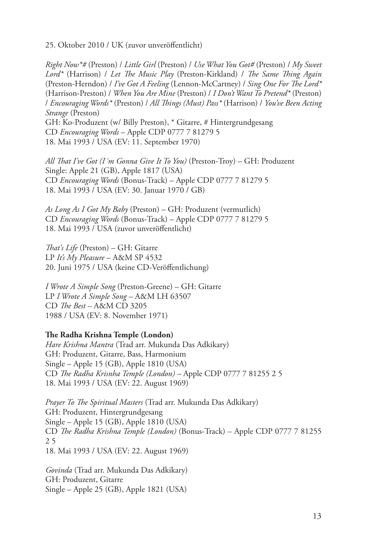25. Oktober 2010 / UK (zuvor unveröffentlicht)

*Right Now\*#* (Preston) / *Little Girl* (Preston) / *Use What You Got#* (Preston) / *My Sweet Lord\** (Harrison) / *Let The Music Play* (Preston-Kirkland) / *The Same Thing Again*  (Preston-Herndon) / *I've Got A Feeling* (Lennon-McCartney) / *Sing One For The Lord\**  (Harrison-Preston) / *When You Are Mine* (Preston) / *I Don't Want To Pretend\** (Preston) / *Encouraging Words\** (Preston) / *All Things (Must) Pass\** (Harrison) / *You've Been Acting Strange* (Preston) GH: Ko-Produzent (w/ Billy Preston), \* Gitarre, # Hintergrundgesang CD *Encouraging Words* – Apple CDP 0777 7 81279 5

18. Mai 1993 / USA (EV: 11. September 1970)

*All That I've Got (I´m Gonna Give It To You)* (Preston-Troy) – GH: Produzent Single: Apple 21 (GB), Apple 1817 (USA) CD *Encouraging Words* (Bonus-Track) – Apple CDP 0777 7 81279 5 18. Mai 1993 / USA (EV: 30. Januar 1970 / GB)

*As Long As I Got My Baby* (Preston) – GH: Produzent (vermutlich) CD *Encouraging Words* (Bonus-Track) – Apple CDP 0777 7 81279 5 18. Mai 1993 / USA (zuvor unveröffentlicht)

*That's Life* (Preston) – GH: Gitarre LP *It's My Pleasure* – A&M SP 4532 20. Juni 1975 / USA (keine CD-Veröffentlichung)

*I Wrote A Simple Song* (Preston-Greene) – GH: Gitarre LP *I Wrote A Simple Song –* A&M LH 63507 CD *The Best –* A&M CD 3205 1988 / USA (EV: 8. November 1971)

#### **The Radha Krishna Temple (London)**

*Hare Krishna Mantra* (Trad arr. Mukunda Das Adkikary) GH: Produzent, Gitarre, Bass, Harmonium Single – Apple 15 (GB), Apple 1810 (USA) CD *The Radha Krisnha Temple (London) –* Apple CDP 0777 7 81255 2 5 18. Mai 1993 / USA (EV: 22. August 1969)

*Prayer To The Spiritual Masters* (Trad arr. Mukunda Das Adkikary) GH: Produzent, Hintergrundgesang Single – Apple 15 (GB), Apple 1810 (USA) CD *The Radha Krishna Temple (London)* (Bonus-Track) – Apple CDP 0777 7 81255 2 5 18. Mai 1993 / USA (EV: 22. August 1969)

*Govinda* (Trad arr. Mukunda Das Adkikary) GH: Produzent, Gitarre Single – Apple 25 (GB), Apple 1821 (USA)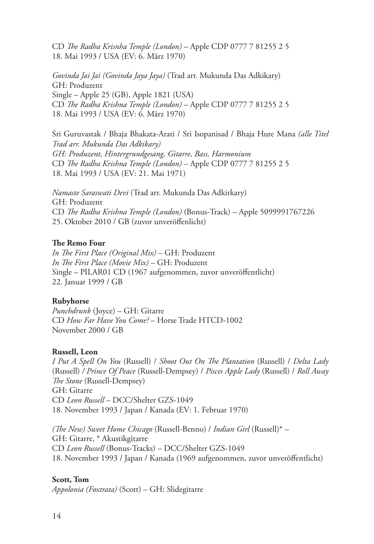CD *The Radha Krisnha Temple (London) –* Apple CDP 0777 7 81255 2 5 18. Mai 1993 / USA (EV: 6. März 1970)

*Govinda Jai Jai (Govinda Jaya Jaya)* (Trad arr. Mukunda Das Adkikary) GH: Produzent Single – Apple 25 (GB), Apple 1821 (USA) CD *The Radha Krishna Temple (London)* – Apple CDP 0777 7 81255 2 5 18. Mai 1993 / USA (EV: 6. März 1970)

Sri Guruvastak / Bhaja Bhakata-Arati / Sri Isopanisad / Bhaja Hure Mana *(alle Titel Trad arr. Mukunda Das Adkikary) GH: Produzent, Hintergrundgesang, Gitarre, Bass, Harmonium* CD *The Radha Krishna Temple (London)* – Apple CDP 0777 7 81255 2 5 18. Mai 1993 / USA (EV: 21. Mai 1971)

*Namaste Saraswati Devi* (Trad arr. Mukunda Das Adkirkary) GH: Produzent CD *The Radha Krishna Temple (London)* (Bonus-Track) *–* Apple 5099991767226 25. Oktober 2010 / GB (zuvor unveröffenlicht)

#### **The Remo Four**

*In The First Place (Original Mix)* – GH: Produzent *In The First Place (Movie Mix)* – GH: Produzent Single – PILAR01 CD (1967 aufgenommen, zuvor unveröffentlicht) 22. Januar 1999 / GB

#### **Rubyhorse**

*Punchdrunk* (Joyce) – GH: Gitarre CD *How Far Have You Come?* – Horse Trade HTCD-1002 November 2000 / GB

#### **Russell, Leon**

*I Put A Spell On You* (Russell) / *Shoot Out On The Plantation* (Russell) / *Delta Lady*  (Russell) */ Prince Of Peace* (Russell-Dempsey) / *Pisces Apple Lady* (Russell) / *Roll Away The Stone* (Russell-Dempsey) GH: Gitarre CD *Leon Russell –* DCC/Shelter GZS-1049 18. November 1993 / Japan / Kanada (EV: 1. Februar 1970)

*(The New) Sweet Home Chicago* (Russell-Benno) / *Indian Girl* (Russell)\* – GH: Gitarre, \* Akustikgitarre CD *Leon Russell* (Bonus-Tracks) – DCC/Shelter GZS-1049 18. November 1993 / Japan / Kanada (1969 aufgenommen, zuvor unveröffentlicht)

#### **Scott, Tom**

*Appolonia (Foxtrata)* (Scott) – GH: Slidegitarre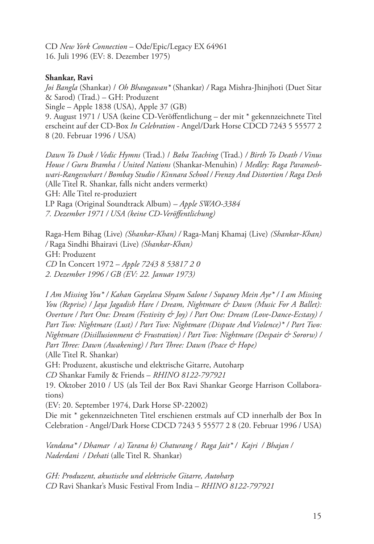CD *New York Connection* – Ode/Epic/Legacy EX 64961 16. Juli 1996 (EV: 8. Dezember 1975)

#### **Shankar, Ravi**

*Joi Bangla* (Shankar) / *Oh Bhaugawan\** (Shankar) */* Raga Mishra-Jhinjhoti (Duet Sitar & Sarod) (Trad.) – GH: Produzent

Single – Apple 1838 (USA), Apple 37 (GB)

9. August 1971 / USA (keine CD-Veröffentlichung – der mit \* gekennzeichnete Titel erscheint auf der CD-Box *In Celebration* - Angel/Dark Horse CDCD 7243 5 55577 2 8 (20. Februar 1996 / USA)

*Dawn To Dusk / Vedic Hymns* (Trad.) / *Baba Teaching* (Trad.) */ Birth To Death / Vinus House / Guru Bramha / United Nations* (Shankar-Menuhin) / *Medley: Raga Parameshwari-Rangeswhart / Bombay Studio / Kinnara School / Frenzy And Distortion / Raga Desh* (Alle Titel R. Shankar, falls nicht anders vermerkt) GH: Alle Titel re-produziert LP Raga (Original Soundtrack Album) *– Apple SWAO-3384 7. Dezember 1971 / USA (keine CD-Veröffentlichung)*

Raga-Hem Bihag (Live) *(Shankar-Khan) /* Raga-Manj Khamaj (Live) *(Shankar-Khan) /* Raga Sindhi Bhairavi (Live) *(Shankar-Khan)* GH: Produzent *CD* In Concert 1972 – *Apple 7243 8 53817 2 0 2. Dezember 1996 / GB (EV: 22. Januar 1973)*

*I Am Missing You\* / Kahan Gayelava Shyam Salone / Supaney Mein Aye\* / I am Missing You (Reprise) / Jaya Jagadish Hare / Dream, Nightmare & Dawn (Music For A Ballet): Overture / Part One: Dream (Festivity & Joy) / Part One: Dream (Love-Dance-Ecstasy) / Part Two: Nightmare (Lust) / Part Two: Nightmare (Dispute And Violence)\* / Part Two: Nightmare (Disillusionment & Frustration) / Part Two: Nightmare (Despair & Sororw) / Part Three: Dawn (Awakening) / Part Three: Dawn (Peace & Hope)*

(Alle Titel R. Shankar)

GH: Produzent, akustische und elektrische Gitarre, Autoharp

*CD* Shankar Family & Friends – *RHINO 8122-797921*

19. Oktober 2010 / US (als Teil der Box Ravi Shankar George Harrison Collaborations)

(EV: 20. September 1974, Dark Horse SP-22002)

Die mit \* gekennzeichneten Titel erschienen erstmals auf CD innerhalb der Box In Celebration - Angel/Dark Horse CDCD 7243 5 55577 2 8 (20. Februar 1996 / USA)

*Vandana\* / Dhamar / a) Tarana b) Chaturang / Raga Jait\* / Kajri / Bhajan / Naderdani / Dehati* (alle Titel R. Shankar)

*GH: Produzent, akustische und elektrische Gitarre, Autoharp CD* Ravi Shankar's Music Festival From India – *RHINO 8122-797921*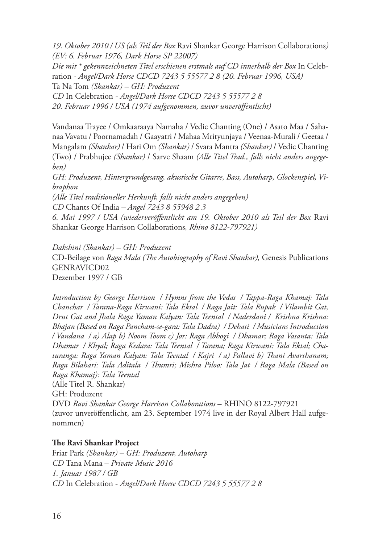*19. Oktober 2010 / US (als Teil der Box* Ravi Shankar George Harrison Collaborations*) (EV: 6. Februar 1976, Dark Horse SP 22007)*

*Die mit \* gekennzeichneten Titel erschienen erstmals auf CD innerhalb der Box* In Celebration - *Angel/Dark Horse CDCD 7243 5 55577 2 8 (20. Februar 1996, USA)* Ta Na Tom *(Shankar) – GH: Produzent*

*CD* In Celebration - *Angel/Dark Horse CDCD 7243 5 55577 2 8 20. Februar 1996 / USA (1974 aufgenommen, zuvor unveröffentlicht)*

Vandanaa Trayee / Omkaaraaya Namaha / Vedic Chanting (One) / Asato Maa / Sahanaa Vavatu / Poornamadah / Gaayatri / Mahaa Mrityunjaya / Veenaa-Murali / Geetaa / Mangalam *(Shankar)* / Hari Om *(Shankar)* / Svara Mantra *(Shankar)* / Vedic Chanting (Two) / Prabhujee *(Shankar)* / Sarve Shaam *(Alle Titel Trad., falls nicht anders angegeben)*

*GH: Produzent, Hintergrundgesang, akustische Gitarre, Bass, Autoharp, Glockenspiel, Vibraphon*

*(Alle Titel traditioneller Herkunft, falls nicht anders angegeben)*

*CD* Chants Of India *– Angel 7243 8 55948 2 3*

*6. Mai 1997 / USA (wiederveröffentlicht am 19. Oktober 2010 als Teil der Box* Ravi Shankar George Harrison Collaborations*, Rhino 8122-797921)*

*Dakshini (Shankar) – GH: Produzent* CD-Beilage von *Raga Mala (The Autobiography of Ravi Shankar),* Genesis Publications GENRAVICD02 Dezember 1997 / GB

*Introduction by George Harrison / Hymns from the Vedas / Tappa-Raga Khamaj: Tala Chanchar / Tarana-Raga Kirwani: Tala Ektal / Raga Jait: Tala Rupak / Vilambit Gat, Drut Gat and Jhala Raga Yaman Kalyan: Tala Teental / Naderdani / Krishna Krishna: Bhajan (Based on Raga Pancham-se-gara: Tala Dadra) / Dehati / Musicians Introduction / Vandana / a) Alap b) Noom Toom c) Jor: Raga Abhogi / Dhamar; Raga Vasanta: Tala Dhamar / Khyal; Raga Kedara: Tala Teental / Tarana; Raga Kirwani: Tala Ektal; Chaturanga: Raga Yaman Kalyan: Tala Teental / Kajri / a) Pallavi b) Thani Avarthanam; Raga Bilahari: Tala Aditala / Thumri; Mishra Piloo: Tala Jat / Raga Mala (Based on Raga Khamaj): Tala Teental* (Alle Titel R. Shankar) GH: Produzent DVD *Ravi Shankar George Harrison Collaborations* – RHINO 8122-797921 (zuvor unveröffentlicht, am 23. September 1974 live in der Royal Albert Hall aufge-

#### **The Ravi Shankar Project**

Friar Park *(Shankar) – GH: Produzent, Autoharp CD* Tana Mana – *Private Music 2016 1. Januar 1987 / GB CD* In Celebration - *Angel/Dark Horse CDCD 7243 5 55577 2 8*

nommen)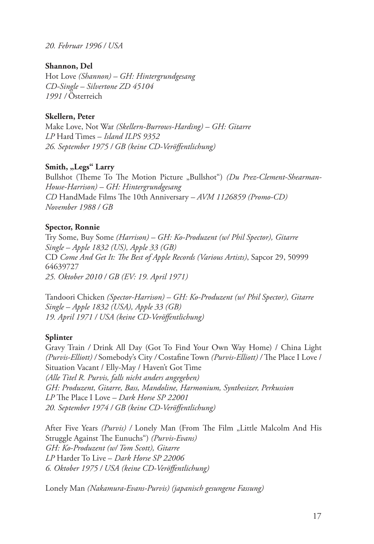*20. Februar 1996 / USA*

#### **Shannon, Del**

Hot Love *(Shannon) – GH: Hintergrundgesang CD-Single – Silvertone ZD 45104 1991 /* Österreich

#### **Skellern, Peter**

Make Love, Not War *(Skellern-Burrows-Harding) – GH: Gitarre LP* Hard Times – *Island ILPS 9352 26. September 1975 / GB (keine CD-Veröffentlichung)*

#### Smith, "Legs" Larry

Bullshot (Theme To The Motion Picture "Bullshot") *(Du Prez-Clement-Shearman-House-Harrison) – GH: Hintergrundgesang CD* HandMade Films The 10th Anniversary *– AVM 1126859 (Promo-CD) November 1988 / GB*

#### **Spector, Ronnie**

Try Some, Buy Some *(Harrison) – GH: Ko-Produzent (w/ Phil Spector), Gitarre Single – Apple 1832 (US), Apple 33 (GB)* CD *Come And Get It: The Best of Apple Records (Various Artists)*, Sapcor 29, 50999 64639727 *25. Oktober 2010 / GB (EV: 19. April 1971)*

Tandoori Chicken *(Spector-Harrison) – GH: Ko-Produzent (w/ Phil Spector), Gitarre Single – Apple 1832 (USA), Apple 33 (GB) 19. April 1971 / USA (keine CD-Veröffentlichung)*

#### **Splinter**

Gravy Train */* Drink All Day (Got To Find Your Own Way Home) / China Light *(Purvis-Elliott) /* Somebody's City */* Costafine Town *(Purvis-Elliott) /* The Place I Love / Situation Vacant / Elly-May / Haven't Got Time *(Alle Titel R. Purvis, falls nicht anders angegeben) GH: Produzent, Gitarre, Bass, Mandoline, Harmonium, Synthesizer, Perkussion LP* The Place I Love *– Dark Horse SP 22001 20. September 1974 / GB (keine CD-Veröffentlichung)*

After Five Years *(Purvis)* / Lonely Man (From The Film "Little Malcolm And His Struggle Against The Eunuchs") *(Purvis-Evans) GH: Ko-Produzent (w/ Tom Scott), Gitarre LP* Harder To Live – *Dark Horse SP 22006 6. Oktober 1975 / USA (keine CD-Veröffentlichung)*

Lonely Man *(Nakamura-Evans-Purvis) (japanisch gesungene Fassung)*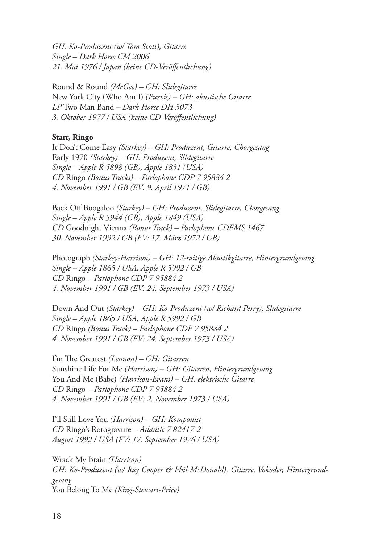*GH: Ko-Produzent (w/ Tom Scott), Gitarre Single – Dark Horse CM 2006 21. Mai 1976 / Japan (keine CD-Veröffentlichung)*

Round & Round *(McGee) – GH: Slidegitarre* New York City (Who Am I) *(Purvis) – GH: akustische Gitarre LP* Two Man Band *– Dark Horse DH 3073 3. Oktober 1977 / USA (keine CD-Veröffentlichung)*

#### **Starr, Ringo**

It Don't Come Easy *(Starkey) – GH: Produzent, Gitarre, Chorgesang* Early 1970 *(Starkey) – GH: Produzent, Slidegitarre Single – Apple R 5898 (GB), Apple 1831 (USA) CD* Ringo *(Bonus Tracks) – Parlophone CDP 7 95884 2 4. November 1991 / GB (EV: 9. April 1971 / GB)*

Back Off Boogaloo *(Starkey) – GH: Produzent, Slidegitarre, Chorgesang Single – Apple R 5944 (GB), Apple 1849 (USA) CD* Goodnight Vienna *(Bonus Track) – Parlophone CDEMS 1467 30. November 1992 / GB (EV: 17. März 1972 / GB)*

Photograph *(Starkey-Harrison) – GH: 12-saitige Akustikgitarre, Hintergrundgesang Single – Apple 1865 / USA, Apple R 5992 / GB CD* Ringo – *Parlophone CDP 7 95884 2 4. November 1991 / GB (EV: 24. September 1973 / USA)*

Down And Out *(Starkey) – GH: Ko-Produzent (w/ Richard Perry), Slidegitarre Single – Apple 1865 / USA, Apple R 5992 / GB CD* Ringo *(Bonus Track)* – *Parlophone CDP 7 95884 2 4. November 1991 / GB (EV: 24. September 1973 / USA)*

I'm The Greatest *(Lennon) – GH: Gitarren* Sunshine Life For Me *(Harrison) – GH: Gitarren, Hintergrundgesang* You And Me (Babe) *(Harrison-Evans) – GH: elektrische Gitarre CD* Ringo – *Parlophone CDP 7 95884 2 4. November 1991 / GB (EV: 2. November 1973 / USA)*

I'll Still Love You *(Harrison) – GH: Komponist CD* Ringo's Rotogravure *– Atlantic 7 82417-2 August 1992 / USA (EV: 17. September 1976 / USA)*

Wrack My Brain *(Harrison)* GH: Ko-Produzent (w/ Ray Cooper & Phil McDonald), Gitarre, Vokoder, Hintergrund*gesang* You Belong To Me *(King-Stewart-Price)*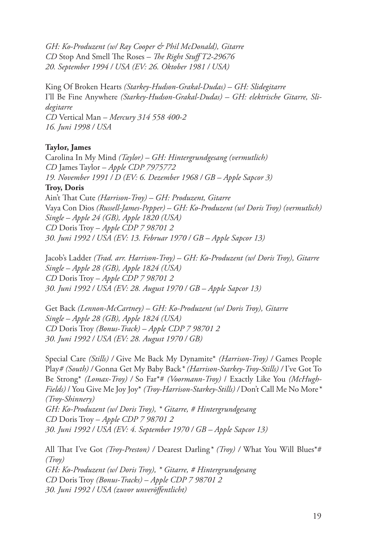*GH: Ko-Produzent (w/ Ray Cooper & Phil McDonald), Gitarre CD* Stop And Smell The Roses *– The Right Stuff T2-29676 20. September 1994 / USA (EV: 26. Oktober 1981 / USA)*

King Of Broken Hearts *(Starkey-Hudson-Grakal-Dudas) – GH: Slidegitarre* I'll Be Fine Anywhere *(Starkey-Hudson-Grakal-Dudas) – GH: elektrische Gitarre, Slidegitarre CD* Vertical Man – *Mercury 314 558 400-2 16. Juni 1998 / USA*

#### **Taylor, James**

Carolina In My Mind *(Taylor) – GH: Hintergrundgesang (vermutlich) CD* James Taylor – *Apple CDP 7975772 19. November 1991 / D (EV: 6. Dezember 1968 / GB – Apple Sapcor 3)* **Troy, Doris** Ain't That Cute *(Harrison-Troy) – GH: Produzent, Gitarre* Vaya Con Dios *(Russell-James-Pepper) – GH: Ko-Produzent (w/ Doris Troy) (vermutlich) Single – Apple 24 (GB), Apple 1820 (USA) CD* Doris Troy – *Apple CDP 7 98701 2 30. Juni 1992 / USA (EV: 13. Februar 1970 / GB – Apple Sapcor 13)*

Jacob's Ladder *(Trad. arr. Harrison-Troy) – GH: Ko-Produzent (w/ Doris Troy), Gitarre Single – Apple 28 (GB), Apple 1824 (USA) CD* Doris Troy – *Apple CDP 7 98701 2 30. Juni 1992 / USA (EV: 28. August 1970 / GB – Apple Sapcor 13)*

Get Back *(Lennon-McCartney) – GH: Ko-Produzent (w/ Doris Troy), Gitarre Single – Apple 28 (GB), Apple 1824 (USA) CD* Doris Troy *(Bonus-Track) – Apple CDP 7 98701 2 30. Juni 1992 / USA (EV: 28. August 1970 / GB)*

Special Care *(Stills) /* Give Me Back My Dynamite\* *(Harrison-Troy) /* Games People Play*# (South) /* Gonna Get My Baby Back*\* (Harrison-Starkey-Troy-Stills) /* I've Got To Be Strong\* *(Lomax-Troy) /* So Far\*# *(Voormann-Troy)* / Exactly Like You *(McHugh-Fields)* / You Give Me Joy Joy\* *(Troy-Harrison-Starkey-Stills) /* Don't Call Me No More*\* (Troy-Shinnery) GH: Ko-Produzent (w/ Doris Troy), \* Gitarre, # Hintergrundgesang CD* Doris Troy – *Apple CDP 7 98701 2 30. Juni 1992 / USA (EV: 4. September 1970 / GB – Apple Sapcor 13)*

All That I've Got *(Troy-Preston) /* Dearest Darling*\* (Troy) /* What You Will Blues\*# *(Troy) GH: Ko-Produzent (w/ Doris Troy), \* Gitarre, # Hintergrundgesang CD* Doris Troy *(Bonus-Tracks)* – *Apple CDP 7 98701 2 30. Juni 1992 / USA (zuvor unveröffentlicht)*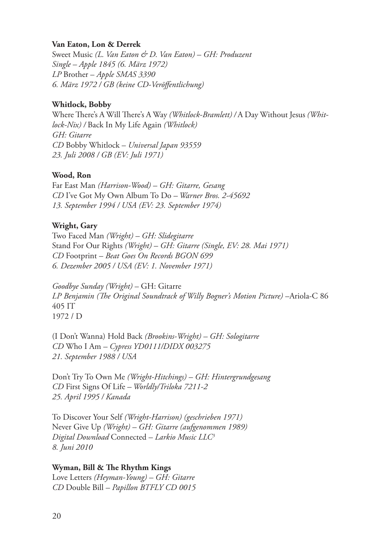#### **Van Eaton, Lon & Derrek**

Sweet Music *(L. Van Eaton & D. Van Eaton) – GH: Produzent Single – Apple 1845 (6. März 1972) LP* Brother – *Apple SMAS 3390 6. März 1972 / GB (keine CD-Veröffentlichung)*

#### **Whitlock, Bobby**

Where There's A Will There's A Way *(Whitlock-Bramlett) /* A Day Without Jesus *(Whitlock-Nix) /* Back In My Life Again *(Whitlock) GH: Gitarre CD* Bobby Whitlock – *Universal Japan 93559 23. Juli 2008 / GB (EV: Juli 1971)*

#### **Wood, Ron**

Far East Man *(Harrison-Wood) – GH: Gitarre, Gesang CD* I've Got My Own Album To Do *– Warner Bros. 2-45692 13. September 1994 / USA (EV: 23. September 1974)*

#### **Wright, Gary**

Two Faced Man *(Wright) – GH: Slidegitarre*  Stand For Our Rights *(Wright) – GH: Gitarre (Single, EV: 28. Mai 1971) CD* Footprint – *Beat Goes On Records BGON 699 6. Dezember 2005 / USA (EV: 1. November 1971)*

*Goodbye Sunday (Wright)* – GH: Gitarre *LP Benjamin (The Original Soundtrack of Willy Bogner's Motion Picture)* –Ariola-C 86 405 IT 1972 / D

(I Don't Wanna) Hold Back *(Brookins-Wright) – GH: Sologitarre CD* Who I Am *– Cypress YD0111/DIDX 003275 21. September 1988 / USA*

Don't Try To Own Me *(Wright-Hitchings) – GH: Hintergrundgesang CD* First Signs Of Life *– Worldly/Triloka 7211-2 25. April 1995 / Kanada*

To Discover Your Self *(Wright-Harrison) (geschrieben 1971)* Never Give Up *(Wright) – GH: Gitarre (aufgenommen 1989) Digital Download* Connected *– Larkio Music LLC3 8. Juni 2010*

## **Wyman, Bill & The Rhythm Kings**

Love Letters *(Heyman-Young) – GH: Gitarre CD* Double Bill *– Papillon BTFLY CD 0015*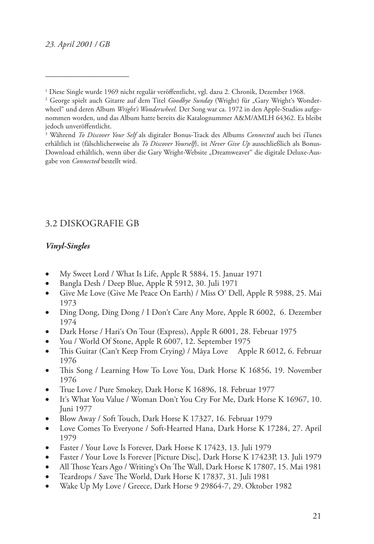*\_\_\_\_\_\_\_\_\_\_\_\_\_\_\_\_\_\_\_\_*

# 3.2 Diskografie GB

## *Vinyl-Singles*

- My Sweet Lord / What Is Life, Apple R 5884, 15. Januar 1971
- • Bangla Desh / Deep Blue, Apple R 5912, 30. Juli 1971
- Give Me Love (Give Me Peace On Earth) / Miss O' Dell, Apple R 5988, 25. Mai 1973
- Ding Dong, Ding Dong / I Don't Care Any More, Apple R 6002, 6. Dezember 1974
- Dark Horse / Hari's On Tour (Express), Apple R 6001, 28. Februar 1975
- You / World Of Stone, Apple R 6007, 12. September 1975
- This Guitar (Can't Keep From Crying) / Mãya Love Apple R 6012, 6. Februar 1976
- This Song / Learning How To Love You, Dark Horse K 16856, 19. November 1976
- True Love / Pure Smokey, Dark Horse K 16896, 18. Februar 1977
- It's What You Value / Woman Don't You Cry For Me, Dark Horse K 16967, 10. Juni 1977
- Blow Away / Soft Touch, Dark Horse K 17327, 16. Februar 1979
- • Love Comes To Everyone / Soft-Hearted Hana, Dark Horse K 17284, 27. April 1979
- Faster / Your Love Is Forever, Dark Horse K 17423, 13. Juli 1979
- Faster / Your Love Is Forever [Picture Disc], Dark Horse K 17423P, 13. Juli 1979
- All Those Years Ago / Writing's On The Wall, Dark Horse K 17807, 15. Mai 1981
- • Teardrops / Save The World, Dark Horse K 17837, 31. Juli 1981
- Wake Up My Love / Greece, Dark Horse 9 29864-7, 29. Oktober 1982

<sup>1</sup> Diese Single wurde 1969 nicht regulär veröffentlicht, vgl. dazu 2. Chronik, Dezember 1968.

<sup>&</sup>lt;sup>2</sup> George spielt auch Gitarre auf dem Titel *Goodbye Sunday* (Wright) für "Gary Wright's Wonderwheel" und deren Album *Wright's Wonderwheel.* Der Song war ca. 1972 in den Apple-Studios aufgenommen worden, und das Album hatte bereits die Katalognummer A&M/AMLH 64362. Es bleibt jedoch unveröffentlicht.

<sup>3</sup> Während *To Discover Your Self* als digitaler Bonus-Track des Albums *Connected* auch bei iTunes erhältlich ist (fälschlicherweise als *To Discover Yourself*), ist *Never Give Up* ausschließlich als Bonus-Download erhältlich, wenn über die Gary Wright-Website "Dreamweaver" die digitale Deluxe-Ausgabe von *Connected* bestellt wird.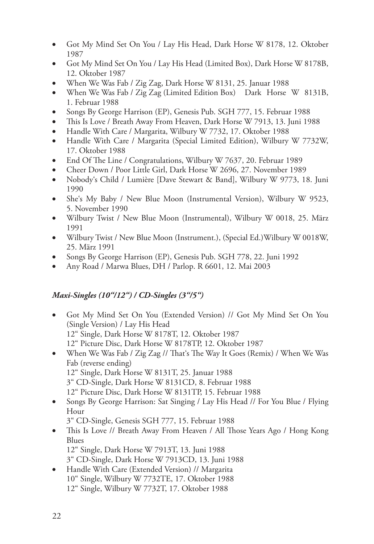- Got My Mind Set On You / Lay His Head, Dark Horse W 8178, 12. Oktober 1987
- • Got My Mind Set On You / Lay His Head (Limited Box), Dark Horse W 8178B, 12. Oktober 1987
- When We Was Fab / Zig Zag, Dark Horse W 8131, 25. Januar 1988
- When We Was Fab / Zig Zag (Limited Edition Box) Dark Horse W 8131B, 1. Februar 1988
- Songs By George Harrison (EP), Genesis Pub. SGH 777, 15. Februar 1988
- This Is Love / Breath Away From Heaven, Dark Horse W 7913, 13. Juni 1988
- Handle With Care / Margarita, Wilbury W 7732, 17. Oktober 1988
- Handle With Care / Margarita (Special Limited Edition), Wilbury W 7732W, 17. Oktober 1988
- End Of The Line / Congratulations, Wilbury W 7637, 20. Februar 1989
- Cheer Down / Poor Little Girl, Dark Horse W 2696, 27. November 1989
- Nobody's Child / Lumière [Dave Stewart & Band], Wilbury W 9773, 18. Juni 1990
- She's My Baby / New Blue Moon (Instrumental Version), Wilbury W 9523, 5. November 1990
- Wilbury Twist / New Blue Moon (Instrumental), Wilbury W 0018, 25. März 1991
- Wilbury Twist / New Blue Moon (Instrument.), (Special Ed.) Wilbury W 0018W, 25. März 1991
- Songs By George Harrison (EP), Genesis Pub. SGH 778, 22. Juni 1992
- Any Road / Marwa Blues, DH / Parlop. R 6601, 12. Mai 2003

## *Maxi-Singles (10"/12") / CD-Singles (3"/5")*

- • Got My Mind Set On You (Extended Version) // Got My Mind Set On You (Single Version) / Lay His Head 12" Single, Dark Horse W 8178T, 12. Oktober 1987 12" Picture Disc, Dark Horse W 8178TP, 12. Oktober 1987
- When We Was Fab / Zig Zag // That's The Way It Goes (Remix) / When We Was Fab (reverse ending) 12" Single, Dark Horse W 8131T, 25. Januar 1988 3" CD-Single, Dark Horse W 8131CD, 8. Februar 1988
	- 12" Picture Disc, Dark Horse W 8131TP, 15. Februar 1988
- Songs By George Harrison: Sat Singing / Lay His Head // For You Blue / Flying Hour
	- 3" CD-Single, Genesis SGH 777, 15. Februar 1988
- This Is Love // Breath Away From Heaven / All Those Years Ago / Hong Kong Blues
	- 12" Single, Dark Horse W 7913T, 13. Juni 1988
	- 3" CD-Single, Dark Horse W 7913CD, 13. Juni 1988
- Handle With Care (Extended Version) // Margarita 10" Single, Wilbury W 7732TE, 17. Oktober 1988 12" Single, Wilbury W 7732T, 17. Oktober 1988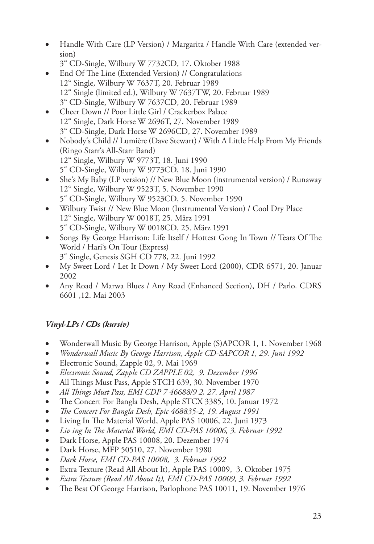• Handle With Care (LP Version) / Margarita / Handle With Care (extended version)

- End Of The Line (Extended Version) // Congratulations 12" Single, Wilbury W 7637T, 20. Februar 1989 12" Single (limited ed.), Wilbury W 7637TW, 20. Februar 1989 3" CD-Single, Wilbury W 7637CD, 20. Februar 1989
- Cheer Down // Poor Little Girl / Crackerbox Palace 12" Single, Dark Horse W 2696T, 27. November 1989 3" CD-Single, Dark Horse W 2696CD, 27. November 1989
- Nobody's Child // Lumière (Dave Stewart) / With A Little Help From My Friends (Ringo Starr's All-Starr Band) 12" Single, Wilbury W 9773T, 18. Juni 1990 5" CD-Single, Wilbury W 9773CD, 18. Juni 1990
- She's My Baby (LP version) // New Blue Moon (instrumental version) / Runaway 12" Single, Wilbury W 9523T, 5. November 1990 5" CD-Single, Wilbury W 9523CD, 5. November 1990
- Wilbury Twist // New Blue Moon (Instrumental Version) / Cool Dry Place 12" Single, Wilbury W 0018T, 25. März 1991 5" CD-Single, Wilbury W 0018CD, 25. März 1991
- Songs By George Harrison: Life Itself / Hottest Gong In Town // Tears Of The World / Hari's On Tour (Express) 3" Single, Genesis SGH CD 778, 22. Juni 1992
- My Sweet Lord / Let It Down / My Sweet Lord (2000), CDR 6571, 20. Januar 2002
- Any Road / Marwa Blues / Any Road (Enhanced Section), DH / Parlo. CDRS 6601 ,12. Mai 2003

# *Vinyl-LPs / CDs (kursiv)*

- Wonderwall Music By George Harrison, Apple (S)APCOR 1, 1. November 1968
- • *Wonderwall Music By George Harrison, Apple CD-SAPCOR 1, 29. Juni 1992*
- Electronic Sound, Zapple 02, 9. Mai 1969
- • *Electronic Sound, Zapple CD ZAPPLE 02, 9. Dezember 1996*
- All Things Must Pass, Apple STCH 639, 30. November 1970
- • *All Things Must Pass, EMI CDP 7 46688/9 2, 27. April 1987*
- The Concert For Bangla Desh, Apple STCX 3385, 10. Januar 1972
- • *The Concert For Bangla Desh, Epic 468835-2, 19. August 1991*
- Living In The Material World, Apple PAS 10006, 22. Juni 1973
- • *Liv ing In The Material World, EMI CD-PAS 10006, 3. Februar 1992*
- Dark Horse, Apple PAS 10008, 20. Dezember 1974
- Dark Horse, MFP 50510, 27. November 1980
- • *Dark Horse, EMI CD-PAS 10008, 3. Februar 1992*
- Extra Texture (Read All About It), Apple PAS 10009, 3. Oktober 1975
- • *Extra Texture (Read All About It), EMI CD-PAS 10009, 3. Februar 1992*
- The Best Of George Harrison, Parlophone PAS 10011, 19. November 1976

<sup>3&</sup>quot; CD-Single, Wilbury W 7732CD, 17. Oktober 1988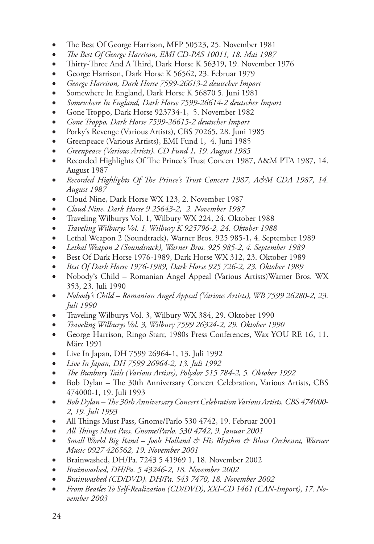- The Best Of George Harrison, MFP 50523, 25. November 1981
- • *The Best Of George Harrison, EMI CD-PAS 10011, 18. Mai 1987*
- Thirty-Three And A Third, Dark Horse K 56319, 19. November 1976
- • George Harrison, Dark Horse K 56562, 23. Februar 1979
- George Harrison, Dark Horse 7599-26613-2 deutscher Import
- Somewhere In England, Dark Horse K 56870 5. Juni 1981
- Somewhere In England, Dark Horse 7599-26614-2 deutscher Import
- Gone Troppo, Dark Horse 923734-1, 5. November 1982
- Gone Troppo, Dark Horse 7599-26615-2 deutscher Import
- Porky's Revenge (Various Artists), CBS 70265, 28. Juni 1985
- Greenpeace (Various Artists), EMI Fund 1, 4. Juni 1985
- Greenpeace (Various Artists), CD Fund 1, 19. August 1985
- Recorded Highlights Of The Prince's Trust Concert 1987, A&M PTA 1987, 14. August 1987
- Recorded Highlights Of The Prince's Trust Concert 1987, A&M CDA 1987, 14. *August 1987*
- Cloud Nine, Dark Horse WX 123, 2. November 1987
- • *Cloud Nine, Dark Horse 9 25643-2, 2. November 1987*
- Traveling Wilburys Vol. 1, Wilbury WX 224, 24. Oktober 1988
- • *Traveling Wilburys Vol. 1, Wilbury K 925796-2, 24. Oktober 1988*
- Lethal Weapon 2 (Soundtrack), Warner Bros. 925 985-1, 4. September 1989
- Lethal Weapon 2 (Soundtrack), Warner Bros. 925 985-2, 4. September 1989
- Best Of Dark Horse 1976-1989, Dark Horse WX 312, 23. Oktober 1989
- Best Of Dark Horse 1976-1989, Dark Horse 925 726-2, 23. Oktober 1989
- Nobody's Child Romanian Angel Appeal (Various Artists) Warner Bros. WX 353, 23. Juli 1990
- • *Nobody's Child Romanian Angel Appeal (Various Artists), WB 7599 26280-2, 23. Juli 1990*
- Traveling Wilburys Vol. 3, Wilbury WX 384, 29. Oktober 1990
- • *Traveling Wilburys Vol. 3, Wilbury 7599 26324-2, 29. Oktober 1990*
- • George Harrison, Ringo Starr, 1980s Press Conferences, Wax YOU RE 16, 11. März 1991
- Live In Japan, DH 7599 26964-1, 13. Juli 1992
- Live In Japan, DH 7599 26964-2, 13. Juli 1992
- The Bunbury Tails (Various Artists), Polydor 515 784-2, 5. Oktober 1992
- Bob Dylan The 30th Anniversary Concert Celebration, Various Artists, CBS 474000-1, 19. Juli 1993
- Bob Dylan The 30th Anniversary Concert Celebration Various Artists, CBS 474000-*2, 19. Juli 1993*
- All Things Must Pass, Gnome/Parlo 530 4742, 19. Februar 2001
- • *All Things Must Pass, Gnome/Parlo. 530 4742, 9. Januar 2001*
- Small World Big Band Jools Holland & His Rhythm & Blues Orchestra, Warner *Music 0927 426562, 19. November 2001*
- Brainwashed, DH/Pa. 7243 5 41969 1, 18. November 2002
- • *Brainwashed, DH/Pa. 5 43246-2, 18. November 2002*
- • *Brainwashed (CD/DVD), DH/Pa. 543 7470, 18. November 2002*
- From Beatles To Self-Realization (CD/DVD), XXI-CD 1461 (CAN-Import), 17. No*vember 2003*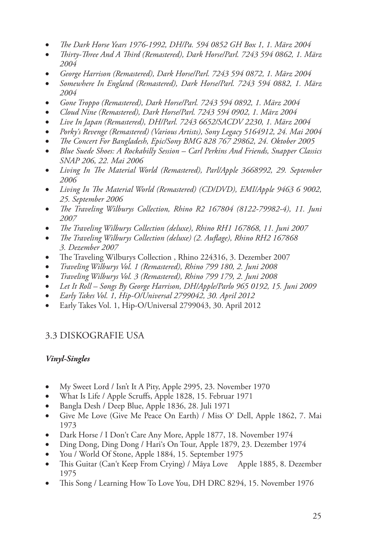- The Dark Horse Years 1976-1992, DH/Pa. 594 0852 GH Box 1, 1. März 2004
- Thirty-Three And A Third (Remastered), Dark Horse/Parl. 7243 594 0862, 1. März *2004*
- George Harrison (Remastered), Dark Horse/Parl. 7243 594 0872, 1. März 2004
- Somewhere In England (Remastered), Dark Horse/Parl. 7243 594 0882, 1. März *2004*
- Gone Troppo (Remastered), Dark Horse/Parl. 7243 594 0892, 1. März 2004
- • *Cloud Nine (Remastered), Dark Horse/Parl. 7243 594 0902, 1. März 2004*
- • *Live In Japan (Remastered), DH/Parl. 7243 6652/SACDV 2230, 1. März 2004*
- • *Porky's Revenge (Remastered) (Various Artists), Sony Legacy 5164912, 24. Mai 2004*
- The Concert For Bangladesh, Epic/Sony BMG 828 767 29862, 24. Oktober 2005
- Blue Suede Shoes: A Rockabilly Session Carl Perkins And Friends, Snapper Classics *SNAP 206, 22. Mai 2006*
- Living In The Material World (Remastered), Parl/Apple 3668992, 29. September *2006*
- • *Living In The Material World (Remastered) (CD/DVD), EMI/Apple 9463 6 9002, 25. September 2006*
- • *The Traveling Wilburys Collection, Rhino R2 167804 (8122-79982-4), 11. Juni 2007*
- The Traveling Wilburys Collection (deluxe), Rhino RH1 167868, 11. Juni 2007
- The Traveling Wilburys Collection (deluxe) (2. Auflage), Rhino RH2 167868 *3. Dezember 2007*
- The Traveling Wilburys Collection, Rhino 224316, 3. Dezember 2007
- • *Traveling Wilburys Vol. 1 (Remastered), Rhino 799 180, 2. Juni 2008*
- • *Traveling Wilburys Vol. 3 (Remastered), Rhino 799 179, 2. Juni 2008*
- Let It Roll Songs By George Harrison, DH/Apple/Parlo 965 0192, 15. Juni 2009
- • *Early Takes Vol. 1, Hip-O/Universal 2799042, 30. April 2012*
- Early Takes Vol. 1, Hip-O/Universal 2799043, 30. April 2012

# 3.3 Diskografie USA

## *Vinyl-Singles*

- My Sweet Lord / Isn't It A Pity, Apple 2995, 23. November 1970
- What Is Life / Apple Scruffs, Apple 1828, 15. Februar 1971
- Bangla Desh / Deep Blue, Apple 1836, 28. Juli 1971
- Give Me Love (Give Me Peace On Earth) / Miss O' Dell, Apple 1862, 7. Mai 1973
- Dark Horse / I Don't Care Any More, Apple 1877, 18. November 1974
- Ding Dong, Ding Dong / Hari's On Tour, Apple 1879, 23. Dezember 1974
- You / World Of Stone, Apple 1884, 15. September 1975
- This Guitar (Can't Keep From Crying) / Mãya Love Apple 1885, 8. Dezember 1975
- This Song / Learning How To Love You, DH DRC 8294, 15. November 1976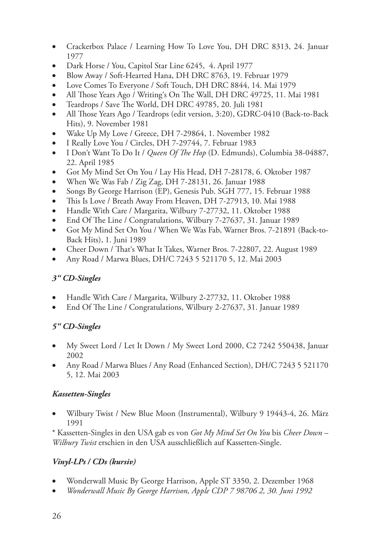- Crackerbox Palace / Learning How To Love You, DH DRC 8313, 24. Januar 1977
- Dark Horse / You, Capitol Star Line 6245, 4. April 1977
- Blow Away / Soft-Hearted Hana, DH DRC 8763, 19. Februar 1979
- Love Comes To Everyone / Soft Touch, DH DRC 8844, 14. Mai 1979
- All Those Years Ago / Writing's On The Wall, DH DRC 49725, 11. Mai 1981
- Teardrops / Save The World, DH DRC 49785, 20. Juli 1981
- All Those Years Ago / Teardrops (edit version, 3:20), GDRC-0410 (Back-to-Back Hits), 9. November 1981
- Wake Up My Love / Greece, DH 7-29864, 1. November 1982
- I Really Love You / Circles, DH 7-29744, 7. Februar 1983
- • I Don't Want To Do It / *Queen Of The Hop* (D. Edmunds), Columbia 38-04887, 22. April 1985
- Got My Mind Set On You / Lay His Head, DH 7-28178, 6. Oktober 1987
- When We Was Fab / Zig Zag, DH 7-28131, 26. Januar 1988
- Songs By George Harrison (EP), Genesis Pub. SGH 777, 15. Februar 1988
- This Is Love / Breath Away From Heaven, DH 7-27913, 10. Mai 1988
- Handle With Care / Margarita, Wilbury 7-27732, 11. Oktober 1988
- End Of The Line / Congratulations, Wilbury 7-27637, 31. Januar 1989
- Got My Mind Set On You / When We Was Fab, Warner Bros. 7-21891 (Back-to-Back Hits), 1. Juni 1989
- Cheer Down / That's What It Takes, Warner Bros. 7-22807, 22. August 1989
- Any Road / Marwa Blues, DH/C 7243 5 521170 5, 12. Mai 2003

# *3" CD-Singles*

- Handle With Care / Margarita, Wilbury 2-27732, 11. Oktober 1988
- End Of The Line / Congratulations, Wilbury 2-27637, 31. Januar 1989

# *5" CD-Singles*

- My Sweet Lord / Let It Down / My Sweet Lord 2000, C2 7242 550438, Januar 2002
- Any Road / Marwa Blues / Any Road (Enhanced Section), DH/C 7243 5 521170 5, 12. Mai 2003

# *Kassetten-Singles*

Wilbury Twist / New Blue Moon (Instrumental), Wilbury 9 19443-4, 26. März 1991

\* Kassetten-Singles in den USA gab es von *Got My Mind Set On You* bis *Cheer Down* – *Wilbury Twist* erschien in den USA ausschließlich auf Kassetten-Single.

# *Vinyl-LPs / CDs (kursiv)*

- Wonderwall Music By George Harrison, Apple ST 3350, 2. Dezember 1968
- • *Wonderwall Music By George Harrison, Apple CDP 7 98706 2, 30. Juni 1992*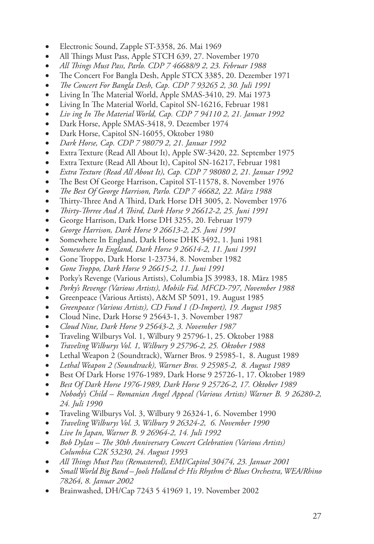- Electronic Sound, Zapple ST-3358, 26. Mai 1969
- All Things Must Pass, Apple STCH 639, 27. November 1970
- • *All Things Must Pass, Parlo. CDP 7 46688/9 2, 23. Februar 1988*
- The Concert For Bangla Desh, Apple STCX 3385, 20. Dezember 1971
- • *The Concert For Bangla Desh, Cap. CDP 7 93265 2, 30. Juli 1991*
- Living In The Material World, Apple SMAS-3410, 29. Mai 1973
- • Living In The Material World, Capitol SN-16216, Februar 1981
- • *Liv ing In The Material World, Cap. CDP 7 94110 2, 21. Januar 1992*
- Dark Horse, Apple SMAS-3418, 9. Dezember 1974
- Dark Horse, Capitol SN-16055, Oktober 1980
- • *Dark Horse, Cap. CDP 7 98079 2, 21. Januar 1992*
- Extra Texture (Read All About It), Apple SW-3420, 22. September 1975
- • Extra Texture (Read All About It), Capitol SN-16217, Februar 1981
- • *Extra Texture (Read All About It), Cap. CDP 7 98080 2, 21. Januar 1992*
- The Best Of George Harrison, Capitol ST-11578, 8. November 1976
- • *The Best Of George Harrison, Parlo. CDP 7 46682, 22. März 1988*
- Thirty-Three And A Third, Dark Horse DH 3005, 2. November 1976
- • *Thirty-Thrree And A Third, Dark Horse 9 26612-2, 25. Juni 1991*
- • George Harrison, Dark Horse DH 3255, 20. Februar 1979
- • *George Harrison, Dark Horse 9 26613-2, 25. Juni 1991*
- Somewhere In England, Dark Horse DHK 3492, 1. Juni 1981
- Somewhere In England, Dark Horse 9 26614-2, 11. Juni 1991
- • Gone Troppo, Dark Horse 1-23734, 8. November 1982
- • *Gone Troppo, Dark Horse 9 26615-2, 11. Juni 1991*
- • Porky's Revenge (Various Artists), Columbia JS 39983, 18. März 1985
- • *Porky's Revenge (Various Artists), Mobile Fid. MFCD-797, November 1988*
- Greenpeace (Various Artists), A&M SP 5091, 19. August 1985
- Greenpeace (Various Artists), CD Fund 1 (D-Import), 19. August 1985
- • Cloud Nine, Dark Horse 9 25643-1, 3. November 1987
- • *Cloud Nine, Dark Horse 9 25643-2, 3. November 1987*
- • Traveling Wilburys Vol. 1, Wilbury 9 25796-1, 25. Oktober 1988
- • *Traveling Wilburys Vol. 1, Wilbury 9 25796-2, 25. Oktober 1988*
- Lethal Weapon 2 (Soundtrack), Warner Bros. 9 25985-1, 8. August 1989
- Lethal Weapon 2 (Soundtrack), Warner Bros. 9 25985-2, 8. August 1989
- Best Of Dark Horse 1976-1989, Dark Horse 9 25726-1, 17. Oktober 1989
- Best Of Dark Horse 1976-1989, Dark Horse 9 25726-2, 17. Oktober 1989
- • *Nobody's Child Romanian Angel Appeal (Various Artists) Warner B. 9 26280-2, 24. Juli 1990*
- Traveling Wilburys Vol. 3, Wilbury 9 26324-1, 6. November 1990
- *Traveling Wilburys Vol. 3, Wilbury 9 26324-2, 6. November 1990*
- • *Live In Japan, Warner B. 9 26964-2, 14. Juli 1992*
- • *Bob Dylan The 30th Anniversary Concert Celebration (Various Artists) Columbia C2K 53230, 24. August 1993*
- All Things Must Pass (Remastered), EMI/Capitol 30474, 23. Januar 2001
- Small World Big Band Jools Holland & His Rhythm & Blues Orchestra, WEA/Rhino *78264, 8. Januar 2002*
- Brainwashed, DH/Cap 7243 5 41969 1, 19. November 2002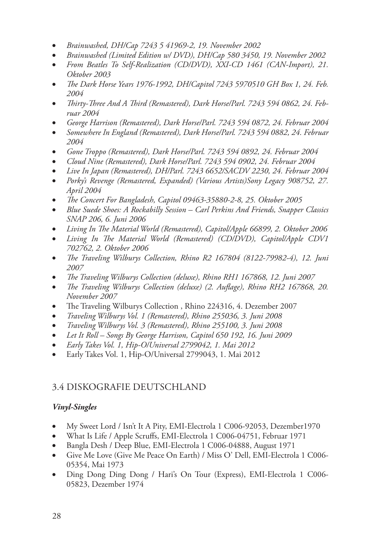- Brainwashed, DH/Cap 7243 5 41969-2, 19. November 2002
- Brainwashed (Limited Edition w/ DVD), DH/Cap 580 3450, 19. November 2002
- From Beatles To Self-Realization (CD/DVD), XXI-CD 1461 (CAN-Import), 21. *Oktober 2003*
- The Dark Horse Years 1976-1992, DH/Capitol 7243 5970510 GH Box 1, 24. Feb. *2004*
- Thirty-Three And A Third (Remastered), Dark Horse/Parl. 7243 594 0862, 24. Feb*ruar 2004*
- George Harrison (Remastered), Dark Horse/Parl. 7243 594 0872, 24. Februar 2004
- Somewhere In England (Remastered), Dark Horse/Parl. 7243 594 0882, 24. Februar *2004*
- Gone Troppo (Remastered), Dark Horse/Parl. 7243 594 0892, 24. Februar 2004
- • *Cloud Nine (Remastered), Dark Horse/Parl. 7243 594 0902, 24. Februar 2004*
- Live In Japan (Remastered), DH/Parl. 7243 6652/SACDV 2230, 24. Februar 2004
- Porky's Revenge (Remastered, Expanded) (Various Artists)Sony Legacy 908752, 27. *April 2004*
- • *The Concert For Bangladesh, Capitol 09463-35880-2-8, 25. Oktober 2005*
- Blue Suede Shoes: A Rockabilly Session Carl Perkins And Friends, Snapper Classics *SNAP 206, 6. Juni 2006*
- Living In The Material World (Remastered), Capitol/Apple 66899, 2. Oktober 2006
- Living In The Material World (Remastered) (CD/DVD), Capitol/Apple CDV1 *702762, 2. Oktober 2006*
- • *The Traveling Wilburys Collection, Rhino R2 167804 (8122-79982-4), 12. Juni 2007*
- The Traveling Wilburys Collection (deluxe), Rhino RH1 167868, 12. Juni 2007
- The Traveling Wilburys Collection (deluxe) (2. Auflage), Rhino RH2 167868, 20. *November 2007*
- The Traveling Wilburys Collection, Rhino 224316, 4. Dezember 2007
- • *Traveling Wilburys Vol. 1 (Remastered), Rhino 255036, 3. Juni 2008*
- • *Traveling Wilburys Vol. 3 (Remastered), Rhino 255100, 3. Juni 2008*
- Let It Roll Songs By George Harrison, Capitol 650 192, 16. Juni 2009
- • *Early Takes Vol. 1, Hip-O/Universal 2799042, 1. Mai 2012*
- • Early Takes Vol. 1, Hip-O/Universal 2799043, 1. Mai 2012

# 3.4 Diskografie Deutschland

## *Vinyl-Singles*

- My Sweet Lord / Isn't It A Pity, EMI-Electrola 1 C006-92053, Dezember1970
- What Is Life / Apple Scruffs, EMI-Electrola 1 C006-04751, Februar 1971
- Bangla Desh / Deep Blue, EMI-Electrola 1 C006-04888, August 1971
- Give Me Love (Give Me Peace On Earth) / Miss O' Dell, EMI-Electrola 1 C006-05354, Mai 1973
- Ding Dong Ding Dong / Hari's On Tour (Express), EMI-Electrola 1 C006-05823, Dezember 1974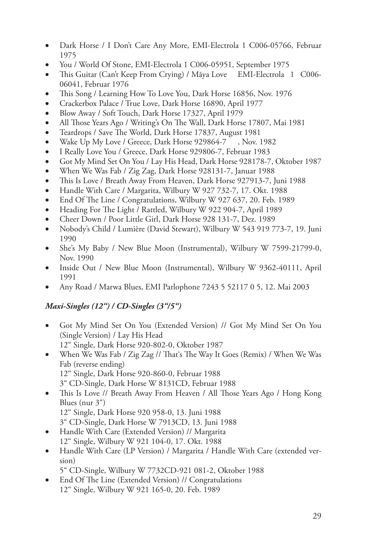- Dark Horse / I Don't Care Any More, EMI-Electrola 1 C006-05766, Februar 1975
- You / World Of Stone, EMI-Electrola 1 C006-05951, September 1975
- This Guitar (Can't Keep From Crying) / Mãya Love EMI-Electrola 1 C006-06041, Februar 1976
- This Song / Learning How To Love You, Dark Horse 16856, Nov. 1976
- Crackerbox Palace / True Love, Dark Horse 16890, April 1977
- Blow Away / Soft Touch, Dark Horse 17327, April 1979
- All Those Years Ago / Writing's On The Wall, Dark Horse 17807, Mai 1981
- Teardrops / Save The World, Dark Horse 17837, August 1981
- Wake Up My Love / Greece, Dark Horse 929864-7, Nov. 1982
- I Really Love You / Greece, Dark Horse 929806-7, Februar 1983
- • Got My Mind Set On You / Lay His Head, Dark Horse 928178-7, Oktober 1987
- When We Was Fab / Zig Zag, Dark Horse 928131-7, Januar 1988
- This Is Love / Breath Away From Heaven, Dark Horse 927913-7, Juni 1988
- Handle With Care / Margarita, Wilbury W 927 732-7, 17. Okt. 1988
- End Of The Line / Congratulations, Wilbury W 927 637, 20. Feb. 1989
- Heading For The Light / Rattled, Wilbury W 922 904-7, April 1989
- • Cheer Down / Poor Little Girl, Dark Horse 928 131-7, Dez. 1989
- Nobody's Child / Lumière (David Stewart), Wilbury W 543 919 773-7, 19. Juni 1990
- She's My Baby / New Blue Moon (Instrumental), Wilbury W 7599-21799-0, Nov. 1990
- • Inside Out / New Blue Moon (Instrumental), Wilbury W 9362-40111, April 1991
- Any Road / Marwa Blues, EMI Parlophone 7243 5 52117 0 5, 12. Mai 2003

# *Maxi-Singles (12") / CD-Singles (3"/5")*

- • Got My Mind Set On You (Extended Version) // Got My Mind Set On You (Single Version) / Lay His Head 12" Single, Dark Horse 920-802-0, Oktober 1987
- When We Was Fab / Zig Zag // That's The Way It Goes (Remix) / When We Was Fab (reverse ending) 12" Single, Dark Horse 920-860-0, Februar 1988 3" CD-Single, Dark Horse W 8131CD, Februar 1988
- This Is Love // Breath Away From Heaven / All Those Years Ago / Hong Kong Blues (nur 3") 12" Single, Dark Horse 920 958-0, 13. Juni 1988 3" CD-Single, Dark Horse W 7913CD, 13. Juni 1988
- • Handle With Care (Extended Version) // Margarita 12" Single, Wilbury W 921 104-0, 17. Okt. 1988
- Handle With Care (LP Version) / Margarita / Handle With Care (extended version)

5" CD-Single, Wilbury W 7732CD-921 081-2, Oktober 1988

• End Of The Line (Extended Version) // Congratulations 12" Single, Wilbury W 921 165-0, 20. Feb. 1989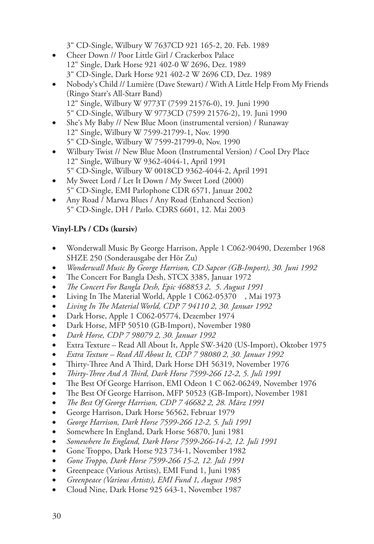3" CD-Single, Wilbury W 7637CD 921 165-2, 20. Feb. 1989

- Cheer Down // Poor Little Girl / Crackerbox Palace 12" Single, Dark Horse 921 402-0 W 2696, Dez. 1989 3" CD-Single, Dark Horse 921 402-2 W 2696 CD, Dez. 1989
- Nobody's Child // Lumière (Dave Stewart) / With A Little Help From My Friends (Ringo Starr's All-Starr Band) 12" Single, Wilbury W 9773T (7599 21576-0), 19. Juni 1990 5" CD-Single, Wilbury W 9773CD (7599 21576-2), 19. Juni 1990
- She's My Baby // New Blue Moon (instrumental version) / Runaway 12" Single, Wilbury W 7599-21799-1, Nov. 1990 5" CD-Single, Wilbury W 7599-21799-0, Nov. 1990
- Wilbury Twist // New Blue Moon (Instrumental Version) / Cool Dry Place 12" Single, Wilbury W 9362-4044-1, April 1991 5" CD-Single, Wilbury W 0018CD 9362-4044-2, April 1991
- My Sweet Lord / Let It Down / My Sweet Lord (2000) 5" CD-Single, EMI Parlophone CDR 6571, Januar 2002
- Any Road / Marwa Blues / Any Road (Enhanced Section) 5" CD-Single, DH / Parlo. CDRS 6601, 12. Mai 2003

# **Vinyl-LPs / CDs (kursiv)**

- Wonderwall Music By George Harrison, Apple 1 C062-90490, Dezember 1968 SHZE 250 (Sonderausgabe der Hör Zu)
- • *Wonderwall Music By George Harrison, CD Sapcor (GB-Import), 30. Juni 1992*
- The Concert For Bangla Desh, STCX 3385, Januar 1972
- • *The Concert For Bangla Desh, Epic 468853 2, 5. August 1991*
- Living In The Material World, Apple 1 C062-05370 , Mai 1973
- • *Living In The Material World, CDP 7 94110 2, 30. Januar 1992*
- Dark Horse, Apple 1 C062-05774, Dezember 1974
- Dark Horse, MFP 50510 (GB-Import), November 1980
- • *Dark Horse, CDP 7 98079 2, 30. Januar 1992*
- Extra Texture Read All About It, Apple SW-3420 (US-Import), Oktober 1975
- • *Extra Texture Read All About It, CDP 7 98080 2, 30. Januar 1992*
- Thirty-Three And A Third, Dark Horse DH 56319, November 1976
- • *Thirty-Three And A Third, Dark Horse 7599-266 12-2, 5. Juli 1991*
- The Best Of George Harrison, EMI Odeon 1 C 062-06249, November 1976
- The Best Of George Harrison, MFP 50523 (GB-Import), November 1981
- • *The Best Of George Harrison, CDP 7 46682 2, 28. März 1991*
- George Harrison, Dark Horse 56562, Februar 1979
- • *George Harrison, Dark Horse 7599-266 12-2, 5. Juli 1991*
- Somewhere In England, Dark Horse 56870, Juni 1981
- • *Somewhere In England, Dark Horse 7599-266-14-2, 12. Juli 1991*
- Gone Troppo, Dark Horse 923 734-1, November 1982
- • *Gone Troppo, Dark Horse 7599-266 15-2, 12. Juli 1991*
- Greenpeace (Various Artists), EMI Fund 1, Juni 1985
- • *Greenpeace (Various Artists), EMI Fund 1, August 1985*
- Cloud Nine, Dark Horse 925 643-1, November 1987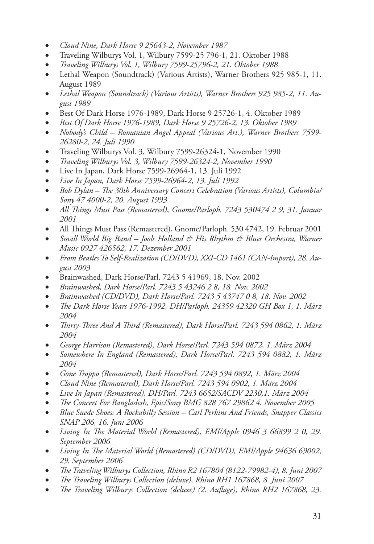- • *Cloud Nine, Dark Horse 9 25643-2, November 1987*
- • Traveling Wilburys Vol. 1, Wilbury 7599-25 796-1, 21. Oktober 1988
- • *Traveling Wilburys Vol. 1, Wilbury 7599-25796-2, 21. Oktober 1988*
- Lethal Weapon (Soundtrack) (Various Artists), Warner Brothers 925 985-1, 11. August 1989
- • *Lethal Weapon (Soundtrack) (Various Artists), Warner Brothers 925 985-2, 11. August 1989*
- Best Of Dark Horse 1976-1989, Dark Horse 9 25726-1, 4. Oktober 1989
- • *Best Of Dark Horse 1976-1989, Dark Horse 9 25726-2, 13. Oktober 1989*
- • *Nobody's Child Romanian Angel Appeal (Various Art.), Warner Brothers 7599- 26280-2, 24. Juli 1990*
- Traveling Wilburys Vol. 3, Wilbury 7599-26324-1, November 1990
- • *Traveling Wilburys Vol. 3, Wilbury 7599-26324-2, November 1990*
- • Live In Japan, Dark Horse 7599-26964-1, 13. Juli 1992
- • *Live In Japan, Dark Horse 7599-26964-2, 13. Juli 1992*
- Bob Dylan The 30th Anniversary Concert Celebration (Various Artists), Columbial *Sony 47 4000-2, 20. August 1993*
- • *All Things Must Pass (Remastered)*, *Gnome/Parloph. 7243 530474 2 9, 31. Januar 2001*
- All Things Must Pass (Remastered), Gnome/Parloph. 530 4742, 19. Februar 2001
- *Small World Big Band Jools Holland & His Rhythm & Blues Orchestra, Warner Music 0927 426562, 17. Dezember 2001*
- • *From Beatles To Self-Realization (CD/DVD), XXI-CD 1461 (CAN-Import), 28. August 2003*
- Brainwashed, Dark Horse/Parl. 7243 5 41969, 18. Nov. 2002
- • *Brainwashed, Dark Horse/Parl. 7243 5 43246 2 8, 18. Nov. 2002*
- • *Brainwashed (CD/DVD), Dark Horse/Parl. 7243 5 43747 0 8, 18. Nov. 2002*
- • *The Dark Horse Years 1976-1992, DH/Parloph. 24359 42320 GH Box 1, 1. März 2004*
- • *Thirty-Three And A Third (Remastered), Dark Horse/Parl. 7243 594 0862, 1. März 2004*
- • *George Harrison (Remastered), Dark Horse/Parl. 7243 594 0872, 1. März 2004*
- Somewhere In England (Remastered), Dark Horse/Parl. 7243 594 0882, 1. März *2004*
- Gone Troppo (Remastered), Dark Horse/Parl. 7243 594 0892, 1. März 2004
- • *Cloud Nine (Remastered), Dark Horse/Parl. 7243 594 0902, 1. März 2004*
- • *Live In Japan (Remastered), DH/Parl. 7243 6652/SACDV 2230,1. März 2004*
- The Concert For Bangladesh, Epic/Sony BMG 828 767 29862 4. November 2005
- Blue Suede Shoes: A Rockabilly Session Carl Perkins And Friends, Snapper Classics *SNAP 206, 16. Juni 2006*
- • *Living In The Material World (Remastered), EMI/Apple 0946 3 66899 2 0, 29. September 2006*
- • *Living In The Material World (Remastered) (CD/DVD), EMI/Apple 94636 69002, 29. September 2006*
- • *The Traveling Wilburys Collection, Rhino R2 167804 (8122-79982-4), 8. Juni 2007*
- The Traveling Wilburys Collection (deluxe), Rhino RH1 167868, 8. Juni 2007
- The Traveling Wilburys Collection (deluxe) (2. Auflage), Rhino RH2 167868, 23.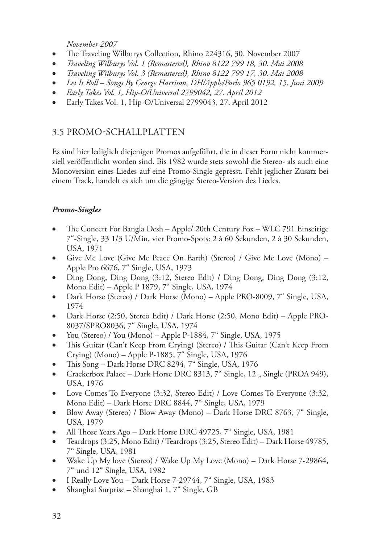*November 2007*

- The Traveling Wilburys Collection, Rhino 224316, 30. November 2007
- • *Traveling Wilburys Vol. 1 (Remastered), Rhino 8122 799 18, 30. Mai 2008*
- • *Traveling Wilburys Vol. 3 (Remastered), Rhino 8122 799 17, 30. Mai 2008*
- Let It Roll Songs By George Harrison, DH/Apple/Parlo 965 0192, 15. Juni 2009
- • *Early Takes Vol. 1, Hip-O/Universal 2799042, 27. April 2012*
- Early Takes Vol. 1, Hip-O/Universal 2799043, 27. April 2012

# 3.5 Promo-Schallplatten

Es sind hier lediglich diejenigen Promos aufgeführt, die in dieser Form nicht kommerziell veröffentlicht worden sind. Bis 1982 wurde stets sowohl die Stereo- als auch eine Monoversion eines Liedes auf eine Promo-Single gepresst. Fehlt jeglicher Zusatz bei einem Track, handelt es sich um die gängige Stereo-Version des Liedes.

# *Promo-Singles*

- The Concert For Bangla Desh Apple/ 20th Century Fox WLC 791 Einseitige 7"-Single, 33 1/3 U/Min, vier Promo-Spots: 2 à 60 Sekunden, 2 à 30 Sekunden, USA, 1971
- Give Me Love (Give Me Peace On Earth) (Stereo) / Give Me Love (Mono) Apple Pro 6676, 7" Single, USA, 1973
- Ding Dong, Ding Dong (3:12, Stereo Edit) / Ding Dong, Ding Dong (3:12, Mono Edit) – Apple P 1879, 7" Single, USA, 1974
- Dark Horse (Stereo) / Dark Horse (Mono) Apple PRO-8009, 7" Single, USA, 1974
- Dark Horse (2:50, Stereo Edit) / Dark Horse (2:50, Mono Edit) Apple PRO-8037/SPRO8036, 7" Single, USA, 1974
- You (Stereo) / You (Mono) Apple P-1884, 7<sup>"</sup> Single, USA, 1975
- This Guitar (Can't Keep From Crying) (Stereo) / This Guitar (Can't Keep From Crying) (Mono) – Apple P-1885, 7" Single, USA, 1976
- This Song Dark Horse DRC 8294, 7" Single, USA, 1976
- Crackerbox Palace Dark Horse DRC 8313, 7" Single, 12 " Single (PROA 949), USA, 1976
- Love Comes To Everyone (3:32, Stereo Edit) / Love Comes To Everyone (3:32, Mono Edit) – Dark Horse DRC 8844, 7" Single, USA, 1979
- Blow Away (Stereo) / Blow Away (Mono) Dark Horse DRC 8763, 7" Single, USA, 1979
- All Those Years Ago Dark Horse DRC 49725, 7" Single, USA, 1981
- Teardrops (3:25, Mono Edit) / Teardrops (3:25, Stereo Edit) Dark Horse 49785, 7" Single, USA, 1981
- Wake Up My love (Stereo) / Wake Up My Love (Mono) Dark Horse 7-29864, 7" und 12" Single, USA, 1982
- I Really Love You Dark Horse 7-29744, 7" Single, USA, 1983
- • Shanghai Surprise Shanghai 1, 7" Single, GB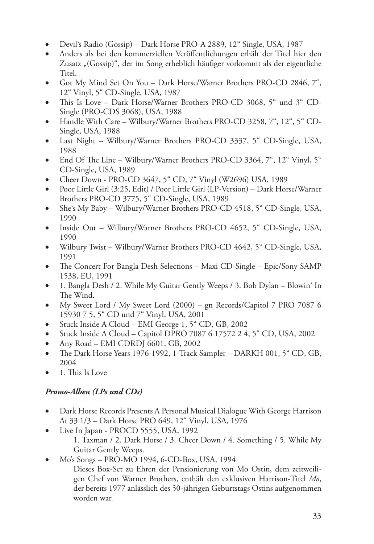- Devil's Radio (Gossip) Dark Horse PRO-A 2889, 12" Single, USA, 1987
- Anders als bei den kommerziellen Veröffentlichungen erhält der Titel hier den Zusatz "(Gossip)", der im Song erheblich häufiger vorkommt als der eigentliche Titel.
- Got My Mind Set On You Dark Horse/Warner Brothers PRO-CD 2846, 7", 12" Vinyl, 5" CD-Single, USA, 1987
- • This Is Love Dark Horse/Warner Brothers PRO-CD 3068, 5" und 3" CD-Single (PRO-CDS 3068), USA, 1988
- Handle With Care Wilbury/Warner Brothers PRO-CD 3258, 7", 12", 5" CD-Single, USA, 1988
- Last Night Wilbury/Warner Brothers PRO-CD 3337, 5" CD-Single, USA, 1988
- End Of The Line Wilbury/Warner Brothers PRO-CD 3364, 7", 12" Vinyl, 5" CD-Single, USA, 1989
- Cheer Down PRO-CD 3647, 5" CD, 7" Vinyl (W2696) USA, 1989
- • Poor Little Girl (3:25, Edit) / Poor Little Girl (LP-Version) Dark Horse/Warner Brothers PRO-CD 3775, 5" CD-Single, USA, 1989
- She's My Baby Wilbury/Warner Brothers PRO-CD 4518, 5" CD-Single, USA, 1990
- Inside Out Wilbury/Warner Brothers PRO-CD 4652, 5" CD-Single, USA, 1990
- Wilbury Twist Wilbury/Warner Brothers PRO-CD 4642, 5 CD-Single, USA, 1991
- The Concert For Bangla Desh Selections Maxi CD-Single Epic/Sony SAMP 1538, EU, 1991
- 1. Bangla Desh / 2. While My Guitar Gently Weeps / 3. Bob Dylan Blowin' In The Wind.
- My Sweet Lord / My Sweet Lord (2000) gn Records/Capitol 7 PRO 7087 6 15930 7 5, 5" CD und 7" Vinyl, USA, 2001
- Stuck Inside A Cloud EMI George 1, 5" CD, GB, 2002
- Stuck Inside A Cloud Capitol DPRO 7087 6 17572 2 4, 5" CD, USA, 2002
- Any Road EMI CDRDJ 6601, GB, 2002
- The Dark Horse Years 1976-1992, 1-Track Sampler DARKH 001, 5<sup>"</sup> CD, GB, 2004
- 1. This Is Love

# *Promo-Alben (LPs und CDs)*

- Dark Horse Records Presents A Personal Musical Dialogue With George Harrison At 33 1/3 – Dark Horse PRO 649, 12" Vinyl, USA, 1976
- Live In Japan PROCD 5555, USA, 1992
	- 1. Taxman / 2. Dark Horse / 3. Cheer Down / 4. Something / 5. While My Guitar Gently Weeps.
- Mo's Songs PRO-MO 1994, 6-CD-Box, USA, 1994

Dieses Box-Set zu Ehren der Pensionierung von Mo Ostin, dem zeitweiligen Chef von Warner Brothers, enthält den exklusiven Harrison-Titel *Mo*, der bereits 1977 anlässlich des 50-jährigen Geburtstags Ostins aufgenommen worden war.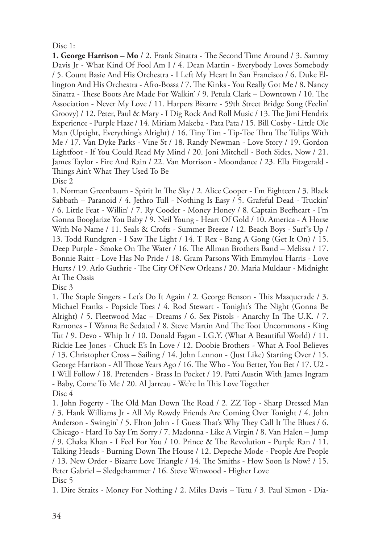## $Disc 1$

**1. George Harrison – Mo** / 2. Frank Sinatra - The Second Time Around / 3. Sammy Davis Jr - What Kind Of Fool Am I / 4. Dean Martin - Everybody Loves Somebody / 5. Count Basie And His Orchestra - I Left My Heart In San Francisco / 6. Duke Ellington And His Orchestra - Afro-Bossa / 7. The Kinks - You Really Got Me / 8. Nancy Sinatra - These Boots Are Made For Walkin' / 9. Petula Clark – Downtown / 10. The Association - Never My Love / 11. Harpers Bizarre - 59th Street Bridge Song (Feelin' Groovy) / 12. Peter, Paul & Mary - I Dig Rock And Roll Music / 13. The Jimi Hendrix Experience - Purple Haze / 14. Miriam Makeba - Pata Pata / 15. Bill Cosby - Little Ole Man (Uptight, Everything's Alright) / 16. Tiny Tim - Tip-Toe Thru The Tulips With Me / 17. Van Dyke Parks - Vine St / 18. Randy Newman - Love Story / 19. Gordon Lightfoot - If You Could Read My Mind / 20. Joni Mitchell - Both Sides, Now / 21. James Taylor - Fire And Rain / 22. Van Morrison - Moondance / 23. Ella Fitzgerald - Things Ain't What They Used To Be

Disc 2

1. Norman Greenbaum - Spirit In The Sky / 2. Alice Cooper - I'm Eighteen / 3. Black Sabbath – Paranoid / 4. Jethro Tull - Nothing Is Easy / 5. Grafeful Dead - Truckin' / 6. Little Feat - Willin' / 7. Ry Cooder - Money Honey / 8. Captain Beefheart - I'm Gonna Booglarize You Baby / 9. Neil Young - Heart Of Gold / 10. America - A Horse With No Name / 11. Seals & Crofts - Summer Breeze / 12. Beach Boys - Surf's Up / 13. Todd Rundgren - I Saw The Light / 14. T Rex - Bang A Gong (Get It On) / 15. Deep Purple - Smoke On The Water / 16. The Allman Brothers Band – Melissa / 17. Bonnie Raitt - Love Has No Pride / 18. Gram Parsons With Emmylou Harris - Love Hurts / 19. Arlo Guthrie - The City Of New Orleans / 20. Maria Muldaur - Midnight At The Oasis

Disc 3

1. The Staple Singers - Let's Do It Again / 2. George Benson - This Masquerade / 3. Michael Franks - Popsicle Toes / 4. Rod Stewart - Tonight's The Night (Gonna Be Alright) / 5. Fleetwood Mac – Dreams / 6. Sex Pistols - Anarchy In The U.K. / 7. Ramones - I Wanna Be Sedated / 8. Steve Martin And The Toot Uncommons - King Tut / 9. Devo - Whip It / 10. Donald Fagan - I.G.Y. (What A Beautiful World) / 11. Rickie Lee Jones - Chuck E's In Love / 12. Doobie Brothers - What A Fool Believes / 13. Christopher Cross – Sailing / 14. John Lennon - (Just Like) Starting Over / 15. George Harrison - All Those Years Ago / 16. The Who - You Better, You Bet / 17. U2 - I Will Follow / 18. Pretenders - Brass In Pocket / 19. Patti Austin With James Ingram - Baby, Come To Me / 20. Al Jarreau - We're In This Love Together Disc 4

1. John Fogerty - The Old Man Down The Road / 2. ZZ Top - Sharp Dressed Man / 3. Hank Williams Jr - All My Rowdy Friends Are Coming Over Tonight / 4. John Anderson - Swingin' / 5. Elton John - I Guess That's Why They Call It The Blues / 6. Chicago - Hard To Say I'm Sorry / 7. Madonna - Like A Virgin / 8. Van Halen – Jump / 9. Chaka Khan - I Feel For You / 10. Prince & The Revolution - Purple Ran / 11. Talking Heads - Burning Down The House / 12. Depeche Mode - People Are People / 13. New Order - Bizarre Love Triangle / 14. The Smiths - How Soon Is Now? / 15. Peter Gabriel – Sledgehammer / 16. Steve Winwood - Higher Love Disc 5

1. Dire Straits - Money For Nothing / 2. Miles Davis – Tutu / 3. Paul Simon - Dia-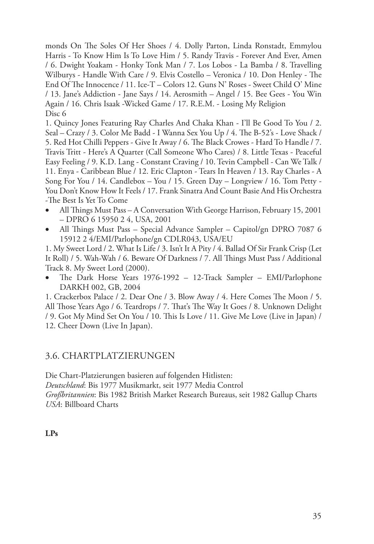monds On The Soles Of Her Shoes / 4. Dolly Parton, Linda Ronstadt, Emmylou Harris - To Know Him Is To Love Him / 5. Randy Travis - Forever And Ever, Amen / 6. Dwight Yoakam - Honky Tonk Man / 7. Los Lobos - La Bamba / 8. Travelling Wilburys - Handle With Care / 9. Elvis Costello – Veronica / 10. Don Henley - The End Of The Innocence / 11. Ice-T – Colors 12. Guns N' Roses - Sweet Child O' Mine / 13. Jane's Addiction - Jane Says / 14. Aerosmith – Angel / 15. Bee Gees - You Win Again / 16. Chris Isaak -Wicked Game / 17. R.E.M. - Losing My Religion Disc<sub>6</sub>

1. Quincy Jones Featuring Ray Charles And Chaka Khan - I'll Be Good To You / 2. Seal – Crazy / 3. Color Me Badd - I Wanna Sex You Up / 4. The B-52's - Love Shack / 5. Red Hot Chilli Peppers - Give It Away / 6. The Black Crowes - Hard To Handle / 7. Travis Tritt - Here's A Quarter (Call Someone Who Cares) / 8. Little Texas - Peaceful Easy Feeling / 9. K.D. Lang - Constant Craving / 10. Tevin Campbell - Can We Talk / 11. Enya - Caribbean Blue / 12. Eric Clapton - Tears In Heaven / 13. Ray Charles - A Song For You / 14. Candlebox – You / 15. Green Day – Longview / 16. Tom Petty - You Don't Know How It Feels / 17. Frank Sinatra And Count Basie And His Orchestra -The Best Is Yet To Come

- All Things Must Pass A Conversation With George Harrison, February 15, 2001 – DPRO 6 15950 2 4, USA, 2001
- All Things Must Pass Special Advance Sampler Capitol/gn DPRO 7087 6 15912 2 4/EMI/Parlophone/gn CDLR043, USA/EU

1. My Sweet Lord / 2. What Is Life / 3. Isn't It A Pity / 4. Ballad Of Sir Frank Crisp (Let It Roll) / 5. Wah-Wah / 6. Beware Of Darkness / 7. All Things Must Pass / Additional Track 8. My Sweet Lord (2000).

The Dark Horse Years 1976-1992 - 12-Track Sampler - EMI/Parlophone DARKH 002, GB, 2004

1. Crackerbox Palace / 2. Dear One / 3. Blow Away / 4. Here Comes The Moon / 5. All Those Years Ago / 6. Teardrops / 7. That's The Way It Goes / 8. Unknown Delight / 9. Got My Mind Set On You / 10. This Is Love / 11. Give Me Love (Live in Japan) / 12. Cheer Down (Live In Japan).

# 3.6. Chartplatzierungen

Die Chart-Platzierungen basieren auf folgenden Hitlisten: *Deutschland*: Bis 1977 Musikmarkt, seit 1977 Media Control *Großbritannien*: Bis 1982 British Market Research Bureaus, seit 1982 Gallup Charts *USA*: Billboard Charts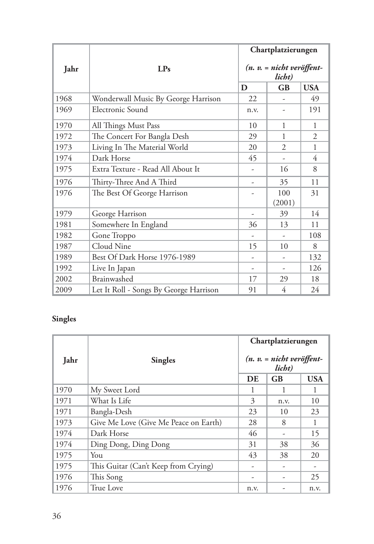|      | LPs<br>Jahr                            |      | Chartplatzierungen                    |              |  |  |
|------|----------------------------------------|------|---------------------------------------|--------------|--|--|
|      |                                        |      | $(n. v. = nicht veröffent-$<br>licht) |              |  |  |
|      |                                        | D    | <b>GB</b>                             | <b>USA</b>   |  |  |
| 1968 | Wonderwall Music By George Harrison    | 22   |                                       | 49           |  |  |
| 1969 | Electronic Sound                       | n.v. |                                       | 191          |  |  |
| 1970 | All Things Must Pass                   | 10   | 1                                     | 1            |  |  |
| 1972 | The Concert For Bangla Desh            | 29   | 1                                     | 2            |  |  |
| 1973 | Living In The Material World           | 20   | $\overline{2}$                        | $\mathbf{1}$ |  |  |
| 1974 | Dark Horse                             | 45   | ۰                                     | 4            |  |  |
| 1975 | Extra Texture - Read All About It      |      | 16                                    | 8            |  |  |
| 1976 | Thirty-Three And A Third               | -    | 35                                    | 11           |  |  |
| 1976 | The Best Of George Harrison            |      | 100                                   | 31           |  |  |
|      |                                        |      | (2001)                                |              |  |  |
| 1979 | George Harrison                        |      | 39                                    | 14           |  |  |
| 1981 | Somewhere In England                   | 36   | 13                                    | 11           |  |  |
| 1982 | Gone Troppo                            |      | -                                     | 108          |  |  |
| 1987 | Cloud Nine                             | 15   | 10                                    | 8            |  |  |
| 1989 | Best Of Dark Horse 1976-1989           |      |                                       | 132          |  |  |
| 1992 | Live In Japan                          |      |                                       | 126          |  |  |
| 2002 | Brainwashed                            | 17   | 29                                    | 18           |  |  |
| 2009 | Let It Roll - Songs By George Harrison | 91   | 4                                     | 24           |  |  |

# **Singles**

|      | Jahr<br><b>Singles</b>                |      | Chartplatzierungen                    |            |  |
|------|---------------------------------------|------|---------------------------------------|------------|--|
|      |                                       |      | $(n. v. = nicht veröffent-$<br>licht) |            |  |
|      |                                       | DE   | <b>GB</b>                             | <b>USA</b> |  |
| 1970 | My Sweet Lord                         |      | 1                                     | 1          |  |
| 1971 | What Is Life                          | 3    | n.v.                                  | 10         |  |
| 1971 | Bangla-Desh                           | 23   | 10                                    | 23         |  |
| 1973 | Give Me Love (Give Me Peace on Earth) | 28   | 8                                     | 1          |  |
| 1974 | Dark Horse                            | 46   |                                       | 15         |  |
| 1974 | Ding Dong, Ding Dong                  | 31   | 38                                    | 36         |  |
| 1975 | You                                   | 43   | 38                                    | 20         |  |
| 1975 | This Guitar (Can't Keep from Crying)  |      | $\overline{\phantom{0}}$              |            |  |
| 1976 | This Song                             |      |                                       | 25         |  |
| 1976 | True Love                             | n.v. |                                       | n.v.       |  |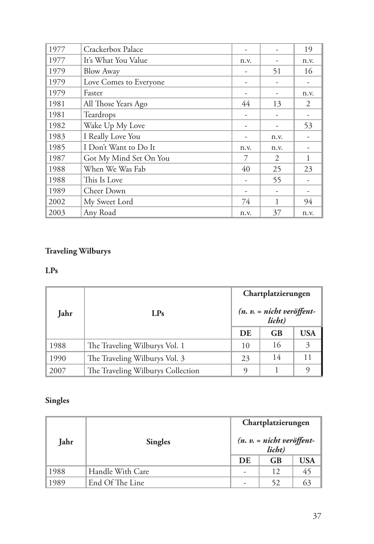| 1977 | Crackerbox Palace      |      |      | 19   |
|------|------------------------|------|------|------|
| 1977 | It's What You Value    | n.v. |      | n.v. |
| 1979 | <b>Blow Away</b>       |      | 51   | 16   |
| 1979 | Love Comes to Everyone |      | -    |      |
| 1979 | Faster                 |      |      | n.v. |
| 1981 | All Those Years Ago    | 44   | 13   | 2    |
| 1981 | Teardrops              |      | -    |      |
| 1982 | Wake Up My Love        |      |      | 53   |
| 1983 | I Really Love You      |      | n.v. |      |
| 1985 | I Don't Want to Do It  | n.v. | n.v. |      |
| 1987 | Got My Mind Set On You | 7    | 2    | 1    |
| 1988 | When We Was Fab        | 40   | 25   | 23   |
| 1988 | This Is Love           |      | 55   |      |
| 1989 | Cheer Down             |      | -    |      |
| 2002 | My Sweet Lord          | 74   | 1    | 94   |
| 2003 | Any Road               | n.v. | 37   | n.v. |

# **Traveling Wilburys**

# **LPs**

|      |                                   | Chartplatzierungen |                                       |            |  |
|------|-----------------------------------|--------------------|---------------------------------------|------------|--|
| Jahr | LPs                               |                    | $(n. v. = nicht veröffent-$<br>licht) |            |  |
|      |                                   | DE                 | <b>GB</b>                             | <b>USA</b> |  |
| 1988 | The Traveling Wilburys Vol. 1     | 10                 | 16                                    | 3          |  |
| 1990 | The Traveling Wilburys Vol. 3     | 23                 | 14                                    | 11         |  |
| 2007 | The Traveling Wilburys Collection | O)                 |                                       |            |  |

# **Singles**

|      |                  | Chartplatzierungen |                                       |            |  |
|------|------------------|--------------------|---------------------------------------|------------|--|
| Jahr | <b>Singles</b>   |                    | $(n. v. = nicht veröffent-$<br>licht) |            |  |
|      |                  | DE                 | <b>GB</b>                             | <b>USA</b> |  |
| 1988 | Handle With Care |                    | 12                                    | 45         |  |
| 1989 | End Of The Line  |                    | 52                                    | 63         |  |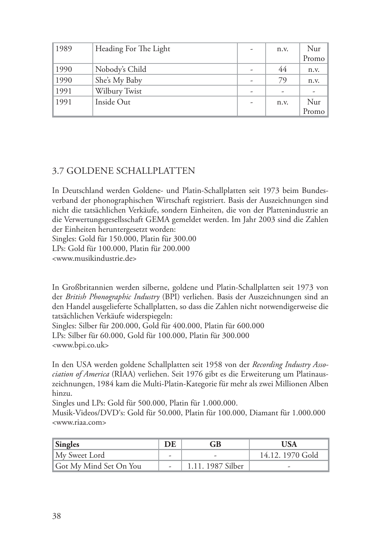| 1989 | Heading For The Light | n.v. | Nur   |
|------|-----------------------|------|-------|
|      |                       |      | Promo |
| 1990 | Nobody's Child        | 44   | n.v.  |
| 1990 | She's My Baby         | 79   | n.v.  |
| 1991 | Wilbury Twist         |      |       |
| 1991 | Inside Out            | n.v. | Nur   |
|      |                       |      | Promo |

# 3.7 Goldene Schallplatten

In Deutschland werden Goldene- und Platin-Schallplatten seit 1973 beim Bundesverband der phonographischen Wirtschaft registriert. Basis der Auszeichnungen sind nicht die tatsächlichen Verkäufe, sondern Einheiten, die von der Plattenindustrie an die Verwertungsgesellsschaft GEMA gemeldet werden. Im Jahr 2003 sind die Zahlen der Einheiten heruntergesetzt worden:

Singles: Gold für 150.000, Platin für 300.00 LPs: Gold für 100.000, Platin für 200.000 <www.musikindustrie.de>

In Großbritannien werden silberne, goldene und Platin-Schallplatten seit 1973 von der *British Phonographic Industry* (BPI) verliehen. Basis der Auszeichnungen sind an den Handel ausgelieferte Schallplatten, so dass die Zahlen nicht notwendigerweise die tatsächlichen Verkäufe widerspiegeln:

Singles: Silber für 200.000, Gold für 400.000, Platin für 600.000 LPs: Silber für 60.000, Gold für 100.000, Platin für 300.000 <www.bpi.co.uk>

In den USA werden goldene Schallplatten seit 1958 von der *Recording Industry Association of America* (RIAA) verliehen. Seit 1976 gibt es die Erweiterung um Platinauszeichnungen, 1984 kam die Multi-Platin-Kategorie für mehr als zwei Millionen Alben hinzu.

Singles und LPs: Gold für 500.000, Platin für 1.000.000.

Musik-Videos/DVD's: Gold für 50.000, Platin für 100.000, Diamant für 1.000.000 <www.riaa.com>

| Singles                | DE | GB                | HSA)                     |
|------------------------|----|-------------------|--------------------------|
| My Sweet Lord          |    |                   | 14.12. 1970 Gold         |
| Got My Mind Set On You |    | 1.11. 1987 Silber | $\overline{\phantom{a}}$ |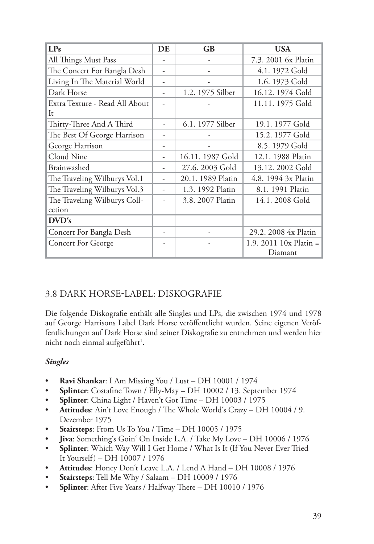| LPs                            | DE | GB                | <b>USA</b>               |
|--------------------------------|----|-------------------|--------------------------|
| All Things Must Pass           |    |                   | 7.3. 2001 6x Platin      |
| The Concert For Bangla Desh    |    |                   | 4.1.1972 Gold            |
| Living In The Material World   |    |                   | 1.6. 1973 Gold           |
| Dark Horse                     |    | 1.2. 1975 Silber  | 16.12. 1974 Gold         |
| Extra Texture - Read All About |    |                   | 11.11. 1975 Gold         |
| It                             |    |                   |                          |
| Thirty-Three And A Third       |    | 6.1. 1977 Silber  | 19.1. 1977 Gold          |
| The Best Of George Harrison    |    |                   | 15.2. 1977 Gold          |
| George Harrison                |    |                   | 8.5.1979 Gold            |
| Cloud Nine                     |    | 16.11. 1987 Gold  | 12.1. 1988 Platin        |
| Brainwashed                    |    | 27.6. 2003 Gold   | 13.12. 2002 Gold         |
| The Traveling Wilburys Vol.1   |    | 20.1. 1989 Platin | 4.8. 1994 3x Platin      |
| The Traveling Wilburys Vol.3   |    | 1.3. 1992 Platin  | 8.1. 1991 Platin         |
| The Traveling Wilburys Coll-   |    | 3.8. 2007 Platin  | 14.1. 2008 Gold          |
| ection                         |    |                   |                          |
| DVD's                          |    |                   |                          |
| Concert For Bangla Desh        |    |                   | 29.2. 2008 4x Platin     |
| <b>Concert For George</b>      |    |                   | 1.9. 2011 $10x$ Platin = |
|                                |    |                   | Diamant                  |

# 3.8 Dark Horse-Label: Diskografie

Die folgende Diskografie enthält alle Singles und LPs, die zwischen 1974 und 1978 auf George Harrisons Label Dark Horse veröffentlicht wurden. Seine eigenen Veröffentlichungen auf Dark Horse sind seiner Diskografie zu entnehmen und werden hier nicht noch einmal aufgeführt<sup>1</sup>.

## *Singles*

- **Ravi Shanka**r: I Am Missing You / Lust DH 10001 / 1974
- **Splinter**: Costafine Town / Elly-May DH 10002 / 13. September 1974
- **Splinter**: China Light / Haven't Got Time DH 10003 / 1975
- Attitudes: Ain't Love Enough / The Whole World's Crazy DH 10004 / 9. Dezember 1975
- **Stairsteps**: From Us To You / Time DH 10005 / 1975
- Jiva: Something's Goin' On Inside L.A. / Take My Love DH 10006 / 1976
- **Splinter**: Which Way Will I Get Home / What Is It (If You Never Ever Tried It Yourself) – DH 10007 / 1976
- Attitudes: Honey Don't Leave L.A. / Lend A Hand DH 10008 / 1976
- • **Stairsteps**: Tell Me Why / Salaam DH 10009 / 1976
- **Splinter**: After Five Years / Halfway There DH 10010 / 1976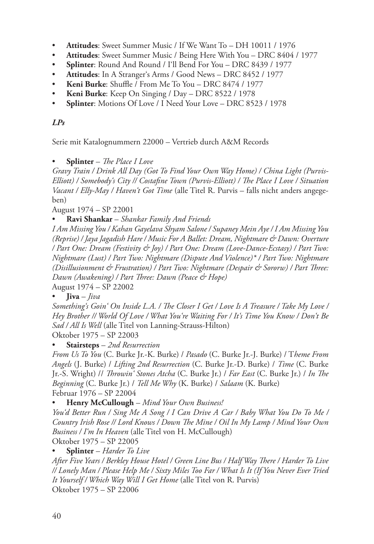- • **Attitudes**: Sweet Summer Music / If We Want To DH 10011 / 1976
- Attitudes: Sweet Summer Music / Being Here With You DRC 8404 / 1977
- **Splinter**: Round And Round / I'll Bend For You DRC 8439 / 1977
- **Attitudes:** In A Stranger's Arms / Good News DRC 8452 / 1977
- • **Keni Burke**: Shuffle / From Me To You DRC 8474 / 1977
- • **Keni Burke**: Keep On Singing / Day DRC 8522 / 1978
- • **Splinter**: Motions Of Love / I Need Your Love DRC 8523 / 1978

## *LPs*

Serie mit Katalognummern 22000 – Vertrieb durch A&M Records

**Splinter** – *The Place I Love* 

*Gravy Train / Drink All Day (Got To Find Your Own Way Home) / China Light (Purvis-Elliott) / Somebody's City // Costafine Town (Purvis-Elliott) / The Place I Love / Situation Vacant / Elly-May / Haven't Got Time* (alle Titel R. Purvis – falls nicht anders angegeben)

August 1974 – SP 22001

• **Ravi Shankar** – *Shankar Family And Friends*

*I Am Missing You / Kahan Gayelava Shyam Salone / Supaney Mein Aye / I Am Missing You (Reprise) / Jaya Jagadish Hare / Music For A Ballet: Dream, Nightmare & Dawn: Overture / Part One: Dream (Festivity & Joy) / Part One: Dream (Love-Dance-Ecstasy) / Part Two: Nightmare (Lust) / Part Two: Nightmare (Dispute And Violence)\* / Part Two: Nightmare (Disillusionment & Frustration) / Part Two: Nightmare (Despair & Sororw) / Part Three: Dawn (Awakening) / Part Three: Dawn (Peace & Hope)*

August 1974 – SP 22002

 $\mathbf{I}$ iva – *Jiva* 

*Something's Goin' On Inside L.A. / The Closer I Get / Love Is A Treasure / Take My Love / Hey Brother // World Of Love / What You're Waiting For / It's Time You Know / Don't Be Sad / All Is Well* (alle Titel von Lanning-Strauss-Hilton)

Oktober 1975 – SP 22003

**Stairsteps** – 2nd Resurrection

*From Us To You* (C. Burke Jr.-K. Burke) / *Pasado* (C. Burke Jr.-J. Burke) / T*heme From Angels* (J. Burke) / *Lifting 2nd Resurrection* (C. Burke Jr.-D. Burke) / *Time* (C. Burke Jr.-S. Wright) // *Throwin' Stones Atcha* (C. Burke Jr.) / *Far East* (C. Burke Jr.) / *In The Beginning* (C. Burke Jr.) / *Tell Me Why* (K. Burke) / *Salaam* (K. Burke) Februar 1976 – SP 22004

## **Henry McCullough** – Mind Your Own Business!

*You'd Better Run / Sing Me A Song / I Can Drive A Car / Baby What You Do To Me / Country Irish Rose // Lord Knows / Down The Mine / Oil In My Lamp / Mind Your Own Business / I'm In Heaven* (alle Titel von H. McCullough)

Oktober 1975 – SP 22005

Splinter – *Harder To Live* 

*After Five Years / Berkley House Hotel / Green Line Bus / Half Way There / Harder To Live // Lonely Man / Please Help Me / Sixty Miles Too Far / What Is It (If You Never Ever Tried It Yourself / Which Way Will I Get Home* (alle Titel von R. Purvis) Oktober 1975 – SP 22006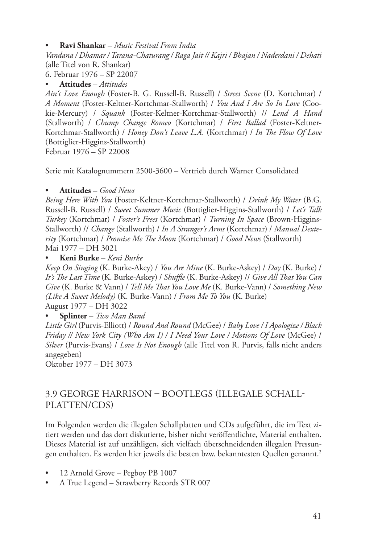• **Ravi Shankar** – *Music Festival From India*

*Vandana / Dhamar / Tarana-Chaturang / Raga Jait // Kajri / Bhajan / Naderdani / Dehati* (alle Titel von R. Shankar)

6. Februar 1976 – SP 22007

• **Attitudes** – *Attitudes*

*Ain't Love Enough* (Foster-B. G. Russell-B. Russell) / *Street Scene* (D. Kortchmar) / *A Moment* (Foster-Keltner-Kortchmar-Stallworth) / *You And I Are So In Love* (Cookie-Mercury) / *Squank* (Foster-Keltner-Kortchmar-Stallworth) // *Lend A Hand*  (Stallworth) / *Chump Change Romeo* (Kortchmar) / *First Ballad* (Foster-Keltner-Kortchmar-Stallworth) / *Honey Don't Leave L.A.* (Kortchmar) / *In The Flow Of Love*  (Bottiglier-Higgins-Stallworth) Februar 1976 – SP 22008

Serie mit Katalognummern 2500-3600 – Vertrieb durch Warner Consolidated

## • **Attitudes** – *Good News*

*Being Here With You* (Foster-Keltner-Kortchmar-Stallworth) / *Drink My Water* (B.G. Russell-B. Russell) / *Sweet Summer Music* (Bottiglier-Higgins-Stallworth) / *Let's Talk Turkey* (Kortchmar) / *Foster's Frees* (Kortchmar) / *Turning In Space* (Brown-Higgins-Stallworth) // *Change* (Stallworth) / *In A Stranger's Arms* (Kortchmar) / *Manual Dexterity* (Kortchmar) / *Promise Me The Moon* (Kortchmar) / *Good News* (Stallworth) Mai 1977 – DH 3021

## • **Keni Burke** – *Keni Burke*

*Keep On Singing* (K. Burke-Akey) / *You Are Mine* (K. Burke-Askey) / *Day* (K. Burke) / *It's The Last Time* (K. Burke-Askey) / *Shuffle* (K. Burke-Askey) // *Give All That You Can Give* (K. Burke & Vann) / *Tell Me That You Love Me* (K. Burke-Vann) / *Something New (Like A Sweet Melody)* (K. Burke-Vann) / *From Me To You* (K. Burke) August 1977 – DH 3022

## Splinter – Two Man Band

*Little Girl* (Purvis-Elliott) / *Round And Round* (McGee) / *Baby Love / I Apologize / Black Friday // New York City (Who Am I) / I Need Your Love / Motions Of Love* (McGee) / *Silver* (Purvis-Evans) / *Love Is Not Enough* (alle Titel von R. Purvis, falls nicht anders angegeben)

Oktober 1977 – DH 3073

# 3.9 George Harrison – Bootlegs (illegale Schallplatten/CDs)

Im Folgenden werden die illegalen Schallplatten und CDs aufgeführt, die im Text zitiert werden und das dort diskutierte, bisher nicht veröffentlichte, Material enthalten. Dieses Material ist auf unzähligen, sich vielfach überschneidenden illegalen Pressungen enthalten. Es werden hier jeweils die besten bzw. bekanntesten Quellen genannt.<sup>2</sup>

- 12 Arnold Grove Pegboy PB 1007
- A True Legend Strawberry Records STR 007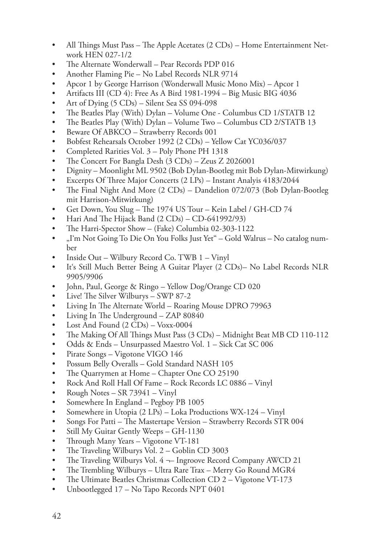- All Things Must Pass The Apple Acetates (2 CDs) Home Entertainment Network HEN 027-1/2
- The Alternate Wonderwall Pear Records PDP 016
- Another Flaming Pie No Label Records NLR 9714
- Apcor 1 by George Harrison (Wonderwall Music Mono Mix) Apcor 1
- Artifacts III (CD 4): Free As A Bird 1981-1994 Big Music BIG 4036
- Art of Dying  $(5 \text{ CDs})$  Silent Sea SS 094-098
- The Beatles Play (With) Dylan Volume One Columbus CD 1/STATB 12
- The Beatles Play (With) Dylan Volume Two Columbus CD 2/STATB 13
- • Beware Of ABKCO Strawberry Records 001
- Bobfest Rehearsals October 1992 (2 CDs) Yellow Cat YC036/037
- Completed Rarities Vol. 3 Poly Phone PH 1318
- The Concert For Bangla Desh (3 CDs) Zeus Z 2026001
- Dignity Moonlight ML 9502 (Bob Dylan-Bootleg mit Bob Dylan-Mitwirkung)
- Excerpts Of Three Major Concerts (2 LPs) Instant Analyis 4183/2044
- The Final Night And More (2 CDs) Dandelion 072/073 (Bob Dylan-Bootleg mit Harrison-Mitwirkung)
- Get Down, You Slug The 1974 US Tour Kein Label / GH-CD 74
- Hari And The Hijack Band  $(2 \text{ CDs}) \text{CD-641992/93}$
- The Harri-Spector Show (Fake) Columbia 02-303-1122
- "I'm Not Going To Die On You Folks Just Yet" Gold Walrus No catalog number
- Inside Out Wilbury Record Co. TWB 1 Vinyl
- It's Still Much Better Being A Guitar Player (2 CDs)– No Label Records NLR 9905/9906
- John, Paul, George & Ringo Yellow Dog/Orange CD 020
- Live! The Silver Wilburys SWP 87-2
- Living In The Alternate World Roaring Mouse DPRO 79963
- Living In The Underground  $-$  ZAP 80840
- Lost And Found  $(2 \text{ CDs}) \text{Voxx-0004}$
- The Making Of All Things Must Pass (3 CDs) Midnight Beat MB CD 110-112
- Odds & Ends Unsurpassed Maestro Vol. 1 Sick Cat SC 006
- Pirate Songs Vigotone VIGO 146
- Possum Belly Overalls Gold Standard NASH 105
- The Quarrymen at Home Chapter One CO 25190
- Rock And Roll Hall Of Fame Rock Records LC 0886 Vinyl
- Rough Notes SR 73941 Vinyl
- Somewhere In England Pegboy PB 1005
- Somewhere in Utopia (2 LPs) Loka Productions WX-124 Vinyl
- Songs For Patti The Mastertape Version Strawberry Records STR 004
- Still My Guitar Gently Weeps GH-1130
- Through Many Years Vigotone VT-181
- The Traveling Wilburys Vol. 2 Goblin CD 3003
- The Traveling Wilburys Vol.  $4 \rightarrow$  Ingroove Record Company AWCD 21
- The Trembling Wilburys Ultra Rare Trax Merry Go Round MGR4
- The Ultimate Beatles Christmas Collection CD 2 Vigotone VT-173
- Unbootlegged 17 No Tapo Records NPT 0401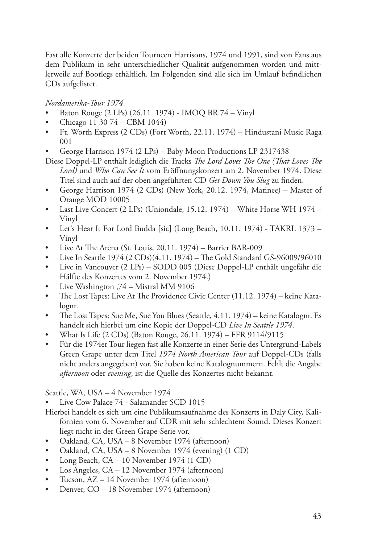Fast alle Konzerte der beiden Tourneen Harrisons, 1974 und 1991, sind von Fans aus dem Publikum in sehr unterschiedlicher Qualität aufgenommen worden und mittlerweile auf Bootlegs erhältlich. Im Folgenden sind alle sich im Umlauf befindlichen CDs aufgelistet.

*Nordamerika-Tour 1974*

- Baton Rouge (2 LPs) (26.11. 1974) IMOQ BR 74 Vinyl
- Chicago 11 30 74 CBM 1044)
- Ft. Worth Express (2 CDs) (Fort Worth, 22.11. 1974) Hindustani Music Raga 001
- George Harrison 1974 (2 LPs) Baby Moon Productions LP 2317438
- Diese Doppel-LP enthält lediglich die Tracks *The Lord Loves The One (That Loves The Lord)* und *Who Can See It* vom Eröffnungskonzert am 2. November 1974. Diese Titel sind auch auf der oben angeführten CD *Get Down You Slug* zu finden.
- • George Harrison 1974 (2 CDs) (New York, 20.12. 1974, Matinee) Master of Orange MOD 10005
- Last Live Concert (2 LPs) (Uniondale, 15.12. 1974) White Horse WH 1974 Vinyl
- Let's Hear It For Lord Budda [sic] (Long Beach, 10.11. 1974) TAKRL 1373 -Vinyl
- Live At The Arena (St. Louis,  $20.11. 1974$ ) Barrier BAR-009
- Live In Seattle 1974 (2 CDs)(4.11. 1974) The Gold Standard GS-96009/96010
- Live in Vancouver (2 LPs) SODD 005 (Diese Doppel-LP enthält ungefähr die Hälfte des Konzertes vom 2. November 1974.)
- Live Washington ,74 Mistral MM 9106
- The Lost Tapes: Live At The Providence Civic Center (11.12. 1974) keine Katalognr.
- The Lost Tapes: Sue Me, Sue You Blues (Seattle,  $4.11. 1974$ ) keine Katalognr. Es handelt sich hierbei um eine Kopie der Doppel-CD *Live In Seattle 1974*.
- What Is Life (2 CDs) (Baton Rouge, 26.11. 1974) FFR 9114/9115
- • Für die 1974er Tour liegen fast alle Konzerte in einer Serie des Untergrund-Labels Green Grape unter dem Titel *1974 North American Tour* auf Doppel-CDs (falls nicht anders angegeben) vor. Sie haben keine Katalognummern. Fehlt die Angabe *afternoon* oder *evening*, ist die Quelle des Konzertes nicht bekannt.

Seattle, WA, USA – 4 November 1974

- Live Cow Palace 74 Salamander SCD 1015
- Hierbei handelt es sich um eine Publikumsaufnahme des Konzerts in Daly City, Kalifornien vom 6. November auf CDR mit sehr schlechtem Sound. Dieses Konzert liegt nicht in der Green Grape-Serie vor.
- • Oakland, CA, USA 8 November 1974 (afternoon)
- Oakland, CA, USA 8 November 1974 (evening) (1 CD)
- Long Beach,  $CA 10$  November 1974 (1 CD)
- Los Angeles,  $CA 12$  November 1974 (afternoon)
- Tucson, AZ 14 November 1974 (afternoon)
- Denver, CO 18 November 1974 (afternoon)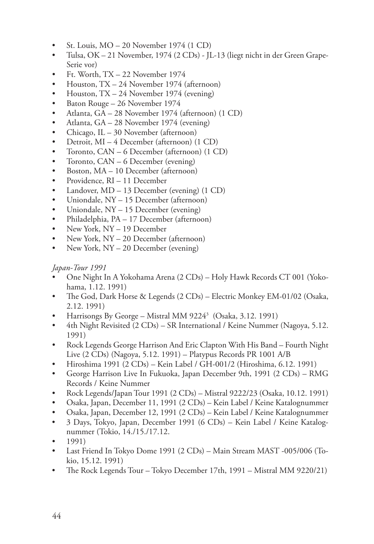- St. Louis,  $MO 20$  November 1974 (1 CD)
- Tulsa, OK 21 November, 1974 (2 CDs) JL-13 (liegt nicht in der Green Grape-Serie vor)
- Ft. Worth,  $TX 22$  November 1974
- Houston, TX 24 November 1974 (afternoon)
- Houston,  $TX 24$  November 1974 (evening)
- Baton Rouge 26 November 1974
- Atlanta, GA 28 November 1974 (afternoon) (1 CD)
- Atlanta, GA 28 November 1974 (evening)
- Chicago, IL 30 November (afternoon)
- Detroit, MI 4 December (afternoon) (1 CD)
- Toronto, CAN 6 December (afternoon) (1 CD)
- Toronto, CAN 6 December (evening)
- Boston, MA 10 December (afternoon)
- Providence, RI 11 December
- Landover, MD 13 December (evening) (1 CD)
- Uniondale, NY 15 December (afternoon)
- Uniondale, NY 15 December (evening)
- Philadelphia, PA 17 December (afternoon)
- New York, NY 19 December
- New York, NY 20 December (afternoon)
- New York, NY 20 December (evening)

# *Japan-Tour 1991*

- One Night In A Yokohama Arena (2 CDs) Holy Hawk Records CT 001 (Yokohama, 1.12. 1991)
- The God, Dark Horse & Legends (2 CDs) Electric Monkey EM-01/02 (Osaka, 2.12. 1991)
- Harrisongs By George Mistral MM 9224 $^3$  (Osaka, 3.12. 1991)
- 4th Night Revisited (2 CDs) SR International / Keine Nummer (Nagoya, 5.12. 1991)
- Rock Legends George Harrison And Eric Clapton With His Band Fourth Night Live (2 CDs) (Nagoya, 5.12. 1991) – Platypus Records PR 1001 A/B
- Hiroshima 1991 (2 CDs) Kein Label / GH-001/2 (Hiroshima, 6.12. 1991)
- George Harrison Live In Fukuoka, Japan December 9th, 1991 (2 CDs) RMG Records / Keine Nummer
- Rock Legends/Japan Tour 1991 (2  $CDs$ ) Mistral 9222/23 (Osaka, 10.12. 1991)
- Osaka, Japan, December 11, 1991 (2 CDs) Kein Label / Keine Katalognummer
- • Osaka, Japan, December 12, 1991 (2 CDs) Kein Label / Keine Katalognummer
- • 3 Days, Tokyo, Japan, December 1991 (6 CDs) Kein Label / Keine Katalognummer (Tokio, 14./15./17.12.
- • 1991)
- Last Friend In Tokyo Dome 1991 (2 CDs) Main Stream MAST -005/006 (Tokio, 15.12. 1991)
- The Rock Legends Tour Tokyo December 17th, 1991 Mistral MM 9220/21)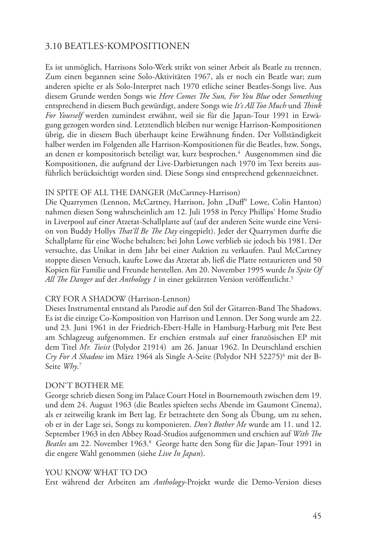# 3.10 Beatles-Kompositionen

Es ist unmöglich, Harrisons Solo-Werk strikt von seiner Arbeit als Beatle zu trennen. Zum einen begannen seine Solo-Aktivitäten 1967, als er noch ein Beatle war; zum anderen spielte er als Solo-Interpret nach 1970 etliche seiner Beatles-Songs live. Aus diesem Grunde werden Songs wie *Here Comes The Sun, For You Blue* oder *Something* entsprechend in diesem Buch gewürdigt, andere Songs wie *It's All Too Much* und *Think For Yourself* werden zumindest erwähnt, weil sie für die Japan-Tour 1991 in Erwägung gezogen worden sind. Letztendlich bleiben nur wenige Harrison-Kompositionen übrig, die in diesem Buch überhaupt keine Erwähnung finden. Der Vollständigkeit halber werden im Folgenden alle Harrison-Kompositionen für die Beatles, bzw. Songs, an denen er kompositorisch beteiligt war, kurz besprochen.<sup>4</sup> Ausgenommen sind die Kompositionen, die aufgrund der Live-Darbietungen nach 1970 im Text bereits ausführlich berücksichtigt worden sind. Diese Songs sind entsprechend gekennzeichnet.

#### IN SPITE OF ALL THE DANGER (McCartney-Harrison)

Die Quarrymen (Lennon, McCartney, Harrison, John "Duff" Lowe, Colin Hanton) nahmen diesen Song wahrscheinlich am 12. Juli 1958 in Percy Phillips' Home Studio in Liverpool auf einer Atzetat-Schallplatte auf (auf der anderen Seite wurde eine Version von Buddy Hollys *That'll Be The Day* eingepielt). Jeder der Quarrymen durfte die Schallplatte für eine Woche behalten; bei John Lowe verblieb sie jedoch bis 1981. Der versuchte, das Unikat in dem Jahr bei einer Auktion zu verkaufen. Paul McCartney stoppte diesen Versuch, kaufte Lowe das Atzetat ab, ließ die Platte restaurieren und 50 Kopien für Familie und Freunde herstellen. Am 20. November 1995 wurde *In Spite Of All The Danger* auf der *Anthology 1* in einer gekürzten Version veröffentlicht.5

#### CRY FOR A SHADOW (Harrison-Lennon)

Dieses Instrumental entstand als Parodie auf den Stil der Gitarren-Band The Shadows. Es ist die einzige Co-Komposition von Harrison und Lennon. Der Song wurde am 22. und 23. Juni 1961 in der Friedrich-Ebert-Halle in Hamburg-Harburg mit Pete Best am Schlagzeug aufgenommen. Er erschien erstmals auf einer französischen EP mit dem Titel *Mr. Twist* (Polydor 21914) am 26. Januar 1962. In Deutschland erschien *Cry For A Shadow* im März 1964 als Single A-Seite (Polydor NH 52275)6 mit der B-Seite *Why*. 7

#### DON'T BOTHER ME

George schrieb diesen Song im Palace Court Hotel in Bournemouth zwischen dem 19. und dem 24. August 1963 (die Beatles spielten sechs Abende im Gaumont Cinema), als er zeitweilig krank im Bett lag. Er betrachtete den Song als Übung, um zu sehen, ob er in der Lage sei, Songs zu komponieren. *Don't Bother Me* wurde am 11. und 12. September 1963 in den Abbey Road-Studios aufgenommen und erschien auf *With The*  Beatles am 22. November 1963.<sup>8</sup> George hatte den Song für die Japan-Tour 1991 in die engere Wahl genommen (siehe *Live In Japan*).

#### YOU KNOW WHAT TO DO

Erst während der Arbeiten am *Anthology*-Projekt wurde die Demo-Version dieses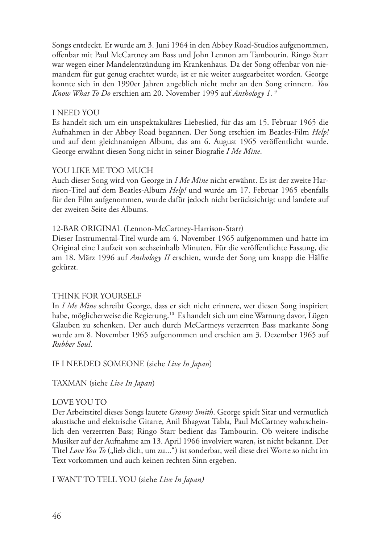Songs entdeckt. Er wurde am 3. Juni 1964 in den Abbey Road-Studios aufgenommen, offenbar mit Paul McCartney am Bass und John Lennon am Tambourin. Ringo Starr war wegen einer Mandelentzündung im Krankenhaus. Da der Song offenbar von niemandem für gut genug erachtet wurde, ist er nie weiter ausgearbeitet worden. George konnte sich in den 1990er Jahren angeblich nicht mehr an den Song erinnern. *You Know What To Do* erschien am 20. November 1995 auf *Anthology 1*. 9

#### I NEED YOU

Es handelt sich um ein unspektakuläres Liebeslied, für das am 15. Februar 1965 die Aufnahmen in der Abbey Road begannen. Der Song erschien im Beatles-Film *Help!*  und auf dem gleichnamigen Album, das am 6. August 1965 veröffentlicht wurde. George erwähnt diesen Song nicht in seiner Biografie *I Me Mine*.

#### YOU LIKE ME TOO MUCH

Auch dieser Song wird von George in *I Me Mine* nicht erwähnt. Es ist der zweite Harrison-Titel auf dem Beatles-Album *Help!* und wurde am 17. Februar 1965 ebenfalls für den Film aufgenommen, wurde dafür jedoch nicht berücksichtigt und landete auf der zweiten Seite des Albums.

#### 12-BAR ORIGINAL (Lennon-McCartney-Harrison-Starr)

Dieser Instrumental-Titel wurde am 4. November 1965 aufgenommen und hatte im Original eine Laufzeit von sechseinhalb Minuten. Für die veröffentlichte Fassung, die am 18. März 1996 auf *Anthology II* erschien, wurde der Song um knapp die Hälfte gekürzt.

#### THINK FOR YOURSELF

In *I Me Mine* schreibt George, dass er sich nicht erinnere, wer diesen Song inspiriert habe, möglicherweise die Regierung.<sup>10</sup> Es handelt sich um eine Warnung davor, Lügen Glauben zu schenken. Der auch durch McCartneys verzerrten Bass markante Song wurde am 8. November 1965 aufgenommen und erschien am 3. Dezember 1965 auf *Rubber Soul*.

IF I NEEDED SOMEONE (siehe *Live In Japan*)

TAXMAN (siehe *Live In Japan*)

#### LOVE YOU TO

Der Arbeitstitel dieses Songs lautete *Granny Smith*. George spielt Sitar und vermutlich akustische und elektrische Gitarre, Anil Bhagwat Tabla, Paul McCartney wahrscheinlich den verzerrten Bass; Ringo Starr bedient das Tambourin. Ob weitere indische Musiker auf der Aufnahme am 13. April 1966 involviert waren, ist nicht bekannt. Der Titel *Love You To* ("lieb dich, um zu...") ist sonderbar, weil diese drei Worte so nicht im Text vorkommen und auch keinen rechten Sinn ergeben.

I WANT TO TELL YOU (siehe *Live In Japan)*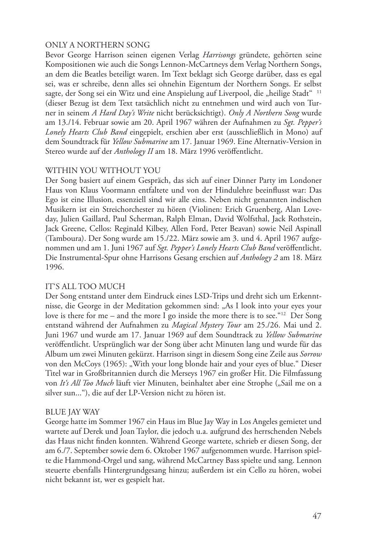## ONLY A NORTHERN SONG

Bevor George Harrison seinen eigenen Verlag *Harrisongs* gründete, gehörten seine Kompositionen wie auch die Songs Lennon-McCartneys dem Verlag Northern Songs, an dem die Beatles beteiligt waren. Im Text beklagt sich George darüber, dass es egal sei, was er schreibe, denn alles sei ohnehin Eigentum der Northern Songs. Er selbst sagte, der Song sei ein Witz und eine Anspielung auf Liverpool, die "heilige Stadt" <sup>11</sup> (dieser Bezug ist dem Text tatsächlich nicht zu entnehmen und wird auch von Turner in seinem *A Hard Day's Write* nicht berücksichtigt). *Only A Northern Song* wurde am 13./14. Februar sowie am 20. April 1967 währen der Aufnahmen zu *Sgt. Pepper's Lonely Hearts Club Band* eingepielt, erschien aber erst (ausschließlich in Mono) auf dem Soundtrack für *Yellow Submarine* am 17. Januar 1969. Eine Alternativ-Version in Stereo wurde auf der *Anthology II* am 18. März 1996 veröffentlicht.

#### WITHIN YOU WITHOUT YOU

Der Song basiert auf einem Gespräch, das sich auf einer Dinner Party im Londoner Haus von Klaus Voormann entfaltete und von der Hindulehre beeinflusst war: Das Ego ist eine Illusion, essenziell sind wir alle eins. Neben nicht genannten indischen Musikern ist ein Streichorchester zu hören (Violinen: Erich Gruenberg, Alan Loveday, Julien Gaillard, Paul Scherman, Ralph Elman, David Wolfsthal, Jack Rothstein, Jack Greene, Cellos: Reginald Kilbey, Allen Ford, Peter Beavan) sowie Neil Aspinall (Tamboura). Der Song wurde am 15./22. März sowie am 3. und 4. April 1967 aufgenommen und am 1. Juni 1967 auf *Sgt. Pepper's Lonely Hearts Club Band* veröffentlicht. Die Instrumental-Spur ohne Harrisons Gesang erschien auf *Anthology 2* am 18. März 1996.

#### IT'S ALL TOO MUCH

Der Song entstand unter dem Eindruck eines LSD-Trips und dreht sich um Erkenntnisse, die George in der Meditation gekommen sind: "As I look into your eyes your love is there for me – and the more I go inside the more there is to see. "<sup>12</sup> Der Song entstand während der Aufnahmen zu *Magical Mystery Tour* am 25./26. Mai und 2. Juni 1967 und wurde am 17. Januar 1969 auf dem Soundtrack zu *Yellow Submarine* veröffentlicht. Ursprünglich war der Song über acht Minuten lang und wurde für das Album um zwei Minuten gekürzt. Harrison singt in diesem Song eine Zeile aus *Sorrow* von den McCoys (1965): "With your long blonde hair and your eyes of blue." Dieser Titel war in Großbritannien durch die Merseys 1967 ein großer Hit. Die Filmfassung von It's All Too Much läuft vier Minuten, beinhaltet aber eine Strophe ("Sail me on a silver sun..."), die auf der LP-Version nicht zu hören ist.

#### BLUE JAY WAY

George hatte im Sommer 1967 ein Haus im Blue Jay Way in Los Angeles gemietet und wartete auf Derek und Joan Taylor, die jedoch u.a. aufgrund des herrschenden Nebels das Haus nicht finden konnten. Während George wartete, schrieb er diesen Song, der am 6./7. September sowie dem 6. Oktober 1967 aufgenommen wurde. Harrison spielte die Hammond-Orgel und sang, während McCartney Bass spielte und sang. Lennon steuerte ebenfalls Hintergrundgesang hinzu; außerdem ist ein Cello zu hören, wobei nicht bekannt ist, wer es gespielt hat.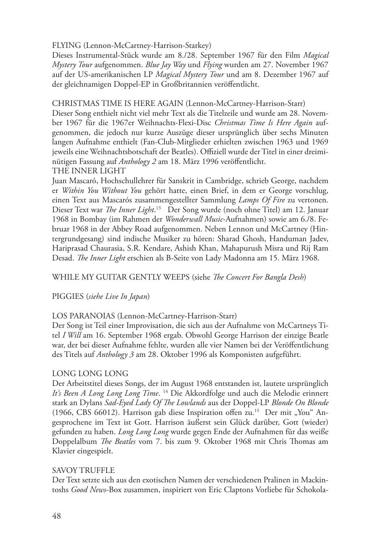FLYING (Lennon-McCartney-Harrison-Starkey)

Dieses Instrumental-Stück wurde am 8./28. September 1967 für den Film *Magical Mystery Tour* aufgenommen. *Blue Jay Way* und *Flying* wurden am 27. November 1967 auf der US-amerikanischen LP *Magical Mystery Tour* und am 8. Dezember 1967 auf der gleichnamigen Doppel-EP in Großbritannien veröffentlicht.

CHRISTMAS TIME IS HERE AGAIN (Lennon-McCartney-Harrison-Starr)

Dieser Song enthielt nicht viel mehr Text als die Titelzeile und wurde am 28. November 1967 für die 1967er Weihnachts-Flexi-Disc *Christmas Time Is Here Again* aufgenommen, die jedoch nur kurze Auszüge dieser ursprünglich über sechs Minuten langen Aufnahme enthielt (Fan-Club-Mitglieder erhielten zwischen 1963 und 1969 jeweils eine Weihnachtsbotschaft der Beatles). Offiziell wurde der Titel in einer dreiminütigen Fassung auf *Anthology 2* am 18. März 1996 veröffentlicht. THE INNER LIGHT

Juan Mascaró, Hochschullehrer für Sanskrit in Cambridge, schrieb George, nachdem er *Within You Without You* gehört hatte, einen Brief, in dem er George vorschlug, einen Text aus Mascarós zusammengestellter Sammlung *Lamps Of Fire* zu vertonen. Dieser Text war *The Inner Light*. 13 Der Song wurde (noch ohne Titel) am 12. Januar 1968 in Bombay (im Rahmen der *Wonderwall Music*-Aufnahmen) sowie am 6./8. Februar 1968 in der Abbey Road aufgenommen. Neben Lennon und McCartney (Hintergrundgesang) sind indische Musiker zu hören: Sharad Ghosh, Handuman Jadev, Hariprasad Chaurasia, S.R. Kendare, Ashish Khan, Mahapurush Misra und Rij Ram Desad. *The Inner Light* erschien als B-Seite von Lady Madonna am 15. März 1968.

WHILE MY GUITAR GENTLY WEEPS (siehe *The Concert For Bangla Desh*)

PIGGIES (*siehe Live In Japan*)

#### LOS PARANOIAS (Lennon-McCartney-Harrison-Starr)

Der Song ist Teil einer Improvisation, die sich aus der Aufnahme von McCartneys Titel *I Will* am 16. September 1968 ergab. Obwohl George Harrison der einzige Beatle war, der bei dieser Aufnahme fehlte, wurden alle vier Namen bei der Veröffentlichung des Titels auf *Anthology 3* am 28. Oktober 1996 als Komponisten aufgeführt.

#### LONG LONG LONG

Der Arbeitstitel dieses Songs, der im August 1968 entstanden ist, lautete ursprünglich *It's Been A Long Long Long Time*. 14 Die Akkordfolge und auch die Melodie erinnert stark an Dylans *Sad-Eyed Lady Of The Lowlands* aus der Doppel-LP *Blonde On Blonde* (1966, CBS 66012). Harrison gab diese Inspiration offen zu.<sup>15</sup> Der mit "You" Angesprochene im Text ist Gott. Harrison äußerst sein Glück darüber, Gott (wieder) gefunden zu haben. *Long Long Long* wurde gegen Ende der Aufnahmen für das weiße Doppelalbum *The Beatles* vom 7. bis zum 9. Oktober 1968 mit Chris Thomas am Klavier eingespielt.

#### SAVOY TRUFFLE

Der Text setzte sich aus den exotischen Namen der verschiedenen Pralinen in Mackintoshs *Good News*-Box zusammen, inspiriert von Eric Claptons Vorliebe für Schokola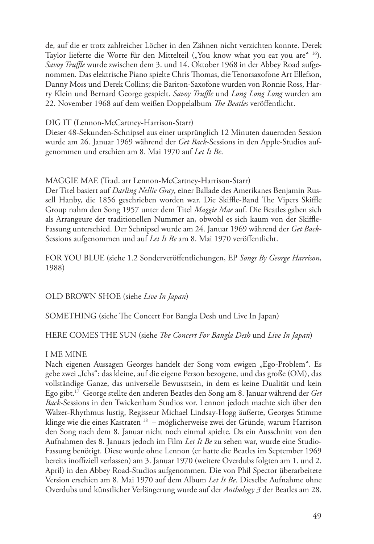de, auf die er trotz zahlreicher Löcher in den Zähnen nicht verzichten konnte. Derek Taylor lieferte die Worte für den Mittelteil ("You know what you eat you are" <sup>16</sup>). *Savoy Truffle* wurde zwischen dem 3. und 14. Oktober 1968 in der Abbey Road aufgenommen. Das elektrische Piano spielte Chris Thomas, die Tenorsaxofone Art Ellefson, Danny Moss und Derek Collins; die Bariton-Saxofone wurden von Ronnie Ross, Harry Klein und Bernard George gespielt. *Savoy Truffle* und *Long Long Long* wurden am 22. November 1968 auf dem weißen Doppelalbum *The Beatles* veröffentlicht.

#### DIG IT (Lennon-McCartney-Harrison-Starr)

Dieser 48-Sekunden-Schnipsel aus einer ursprünglich 12 Minuten dauernden Session wurde am 26. Januar 1969 während der *Get Back*-Sessions in den Apple-Studios aufgenommen und erschien am 8. Mai 1970 auf *Let It Be*.

#### MAGGIE MAE (Trad. arr Lennon-McCartney-Harrison-Starr)

Der Titel basiert auf *Darling Nellie Gray*, einer Ballade des Amerikanes Benjamin Russell Hanby, die 1856 geschrieben worden war. Die Skiffle-Band The Vipers Skiffle Group nahm den Song 1957 unter dem Titel *Maggie Mae* auf. Die Beatles gaben sich als Arrangeure der traditionellen Nummer an, obwohl es sich kaum von der Skiffle-Fassung unterschied. Der Schnipsel wurde am 24. Januar 1969 während der *Get Back*-Sessions aufgenommen und auf *Let It Be* am 8. Mai 1970 veröffentlicht.

FOR YOU BLUE (siehe 1.2 Sonderveröffentlichungen, EP *Songs By George Harrison*, 1988)

OLD BROWN SHOE (siehe *Live In Japan*)

SOMETHING (siehe The Concert For Bangla Desh und Live In Japan)

#### HERE COMES THE SUN (siehe *The Concert For Bangla Desh* und *Live In Japan*)

#### I ME MINE

Nach eigenen Aussagen Georges handelt der Song vom ewigen "Ego-Problem". Es gebe zwei "Ichs": das kleine, auf die eigene Person bezogene, und das große (OM), das vollständige Ganze, das universelle Bewusstsein, in dem es keine Dualität und kein Ego gibt.17 George stellte den anderen Beatles den Song am 8. Januar während der *Get Back-*Sessions in den Twickenham Studios vor. Lennon jedoch machte sich über den Walzer-Rhythmus lustig, Regisseur Michael Lindsay-Hogg äußerte, Georges Stimme klinge wie die eines Kastraten <sup>18</sup> – möglicherweise zwei der Gründe, warum Harrison den Song nach dem 8. Januar nicht noch einmal spielte. Da ein Ausschnitt von den Aufnahmen des 8. Januars jedoch im Film *Let It Be* zu sehen war, wurde eine Studio-Fassung benötigt. Diese wurde ohne Lennon (er hatte die Beatles im September 1969 bereits inoffiziell verlassen) am 3. Januar 1970 (weitere Overdubs folgten am 1. und 2. April) in den Abbey Road-Studios aufgenommen. Die von Phil Spector überarbeitete Version erschien am 8. Mai 1970 auf dem Album *Let It Be*. Dieselbe Aufnahme ohne Overdubs und künstlicher Verlängerung wurde auf der *Anthology 3* der Beatles am 28.